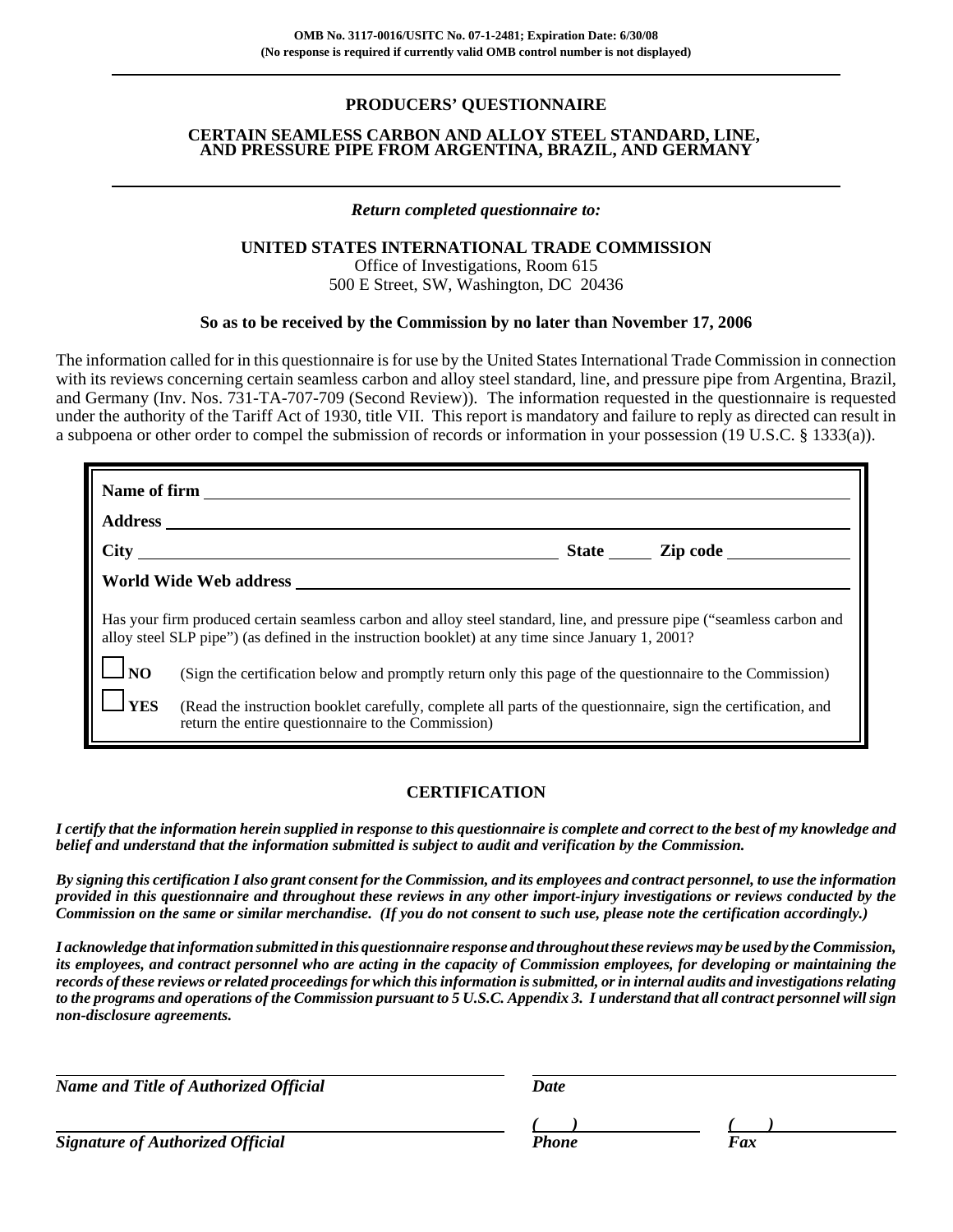# **PRODUCERS' QUESTIONNAIRE**

### **CERTAIN SEAMLESS CARBON AND ALLOY STEEL STANDARD, LINE, AND PRESSURE PIPE FROM ARGENTINA, BRAZIL, AND GERMANY**

## *Return completed questionnaire to:*

## **UNITED STATES INTERNATIONAL TRADE COMMISSION**

Office of Investigations, Room 615 500 E Street, SW, Washington, DC 20436

## **So as to be received by the Commission by no later than November 17, 2006**

The information called for in this questionnaire is for use by the United States International Trade Commission in connection with its reviews concerning certain seamless carbon and alloy steel standard, line, and pressure pipe from Argentina, Brazil, and Germany (Inv. Nos. 731-TA-707-709 (Second Review)). The information requested in the questionnaire is requested under the authority of the Tariff Act of 1930, title VII. This report is mandatory and failure to reply as directed can result in a subpoena or other order to compel the submission of records or information in your possession (19 U.S.C. § 1333(a)).

|                                  | City City City Contact City Contact City Contact City Contact City Contact City Contact City Contact City Contact City Contact City Contact City Contact City Contact City Contact City Contact City Contact City Contact City                                                                                                                                                                                                                                                                                 |
|----------------------------------|----------------------------------------------------------------------------------------------------------------------------------------------------------------------------------------------------------------------------------------------------------------------------------------------------------------------------------------------------------------------------------------------------------------------------------------------------------------------------------------------------------------|
|                                  | World Wide Web address                                                                                                                                                                                                                                                                                                                                                                                                                                                                                         |
| $\Box_{\text{NO}}$<br>$\Box$ YES | Has your firm produced certain seamless carbon and alloy steel standard, line, and pressure pipe ("seamless carbon and<br>alloy steel SLP pipe") (as defined in the instruction booklet) at any time since January 1, 2001?<br>(Sign the certification below and promptly return only this page of the questionnaire to the Commission)<br>(Read the instruction booklet carefully, complete all parts of the questionnaire, sign the certification, and<br>return the entire questionnaire to the Commission) |

## **CERTIFICATION**

*I certify that the information herein supplied in response to this questionnaire is complete and correct to the best of my knowledge and belief and understand that the information submitted is subject to audit and verification by the Commission.*

*By signing this certification I also grant consent for the Commission, and its employees and contract personnel, to use the information provided in this questionnaire and throughout these reviews in any other import-injury investigations or reviews conducted by the Commission on the same or similar merchandise. (If you do not consent to such use, please note the certification accordingly.)*

*I acknowledge that information submitted in this questionnaire response and throughout these reviews may be used by the Commission, its employees, and contract personnel who are acting in the capacity of Commission employees, for developing or maintaining the records of these reviews or related proceedings for which this information is submitted, or in internal audits and investigations relating to the programs and operations of the Commission pursuant to 5 U.S.C. Appendix 3. I understand that all contract personnel will sign non-disclosure agreements.*

| <b>Name and Title of Authorized Official</b> | Date  |     |  |  |  |
|----------------------------------------------|-------|-----|--|--|--|
|                                              |       |     |  |  |  |
| <b>Signature of Authorized Official</b>      | Phone | Fax |  |  |  |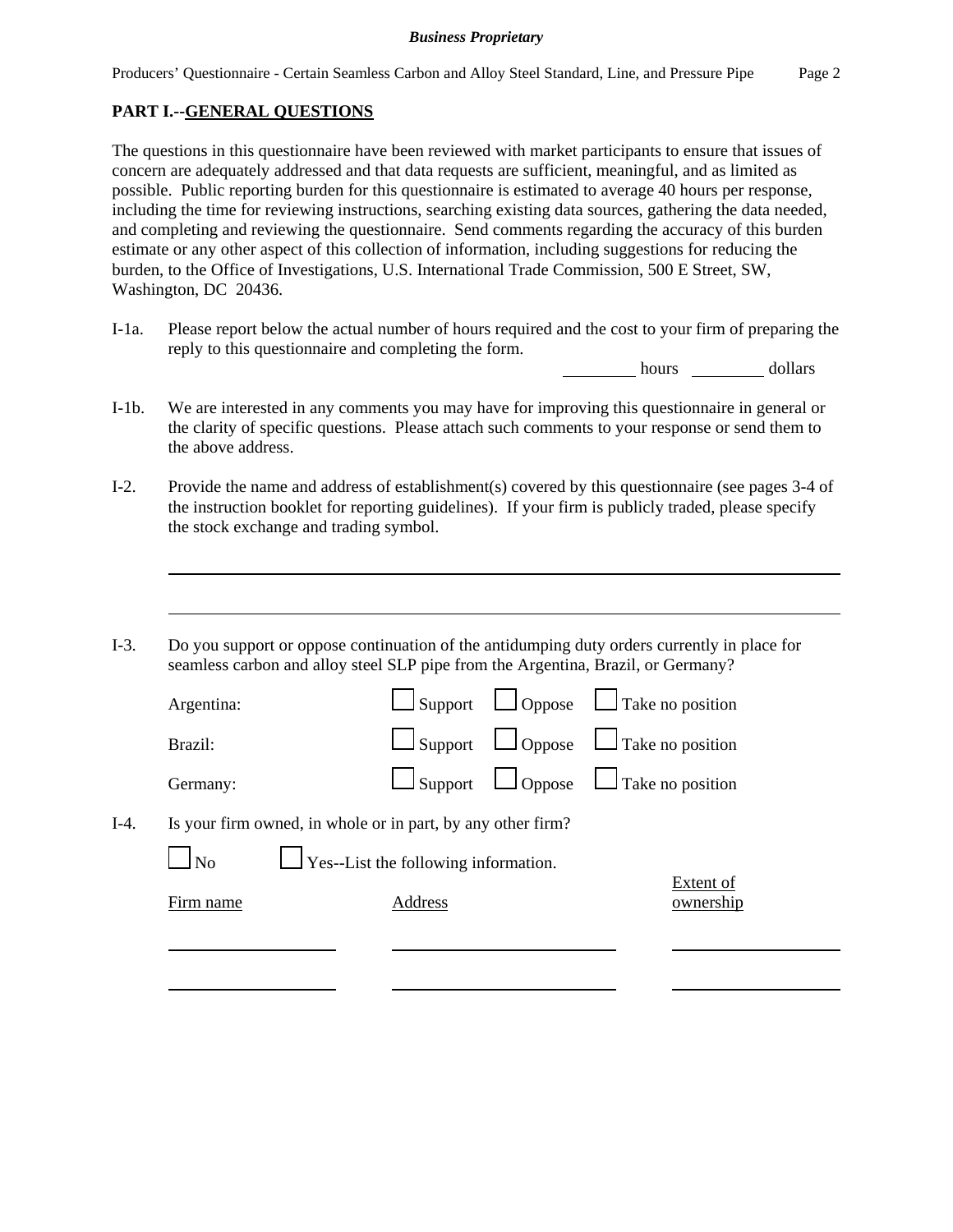# **PART I.--GENERAL QUESTIONS**

The questions in this questionnaire have been reviewed with market participants to ensure that issues of concern are adequately addressed and that data requests are sufficient, meaningful, and as limited as possible. Public reporting burden for this questionnaire is estimated to average 40 hours per response, including the time for reviewing instructions, searching existing data sources, gathering the data needed, and completing and reviewing the questionnaire. Send comments regarding the accuracy of this burden estimate or any other aspect of this collection of information, including suggestions for reducing the burden, to the Office of Investigations, U.S. International Trade Commission, 500 E Street, SW, Washington, DC 20436.

I-1a. Please report below the actual number of hours required and the cost to your firm of preparing the reply to this questionnaire and completing the form.

hours dollars

- I-1b. We are interested in any comments you may have for improving this questionnaire in general or the clarity of specific questions. Please attach such comments to your response or send them to the above address.
- I-2. Provide the name and address of establishment(s) covered by this questionnaire (see pages 3-4 of the instruction booklet for reporting guidelines). If your firm is publicly traded, please specify the stock exchange and trading symbol.
- I-3. Do you support or oppose continuation of the antidumping duty orders currently in place for seamless carbon and alloy steel SLP pipe from the Argentina, Brazil, or Germany?

|        | Argentina:                                                  |                                      | $\Box$ Support $\Box$ Oppose $\Box$ Take no position |
|--------|-------------------------------------------------------------|--------------------------------------|------------------------------------------------------|
|        | Brazil:                                                     |                                      | $\Box$ Support $\Box$ Oppose $\Box$ Take no position |
|        | Germany:                                                    |                                      | $\Box$ Support $\Box$ Oppose $\Box$ Take no position |
| $I-4.$ | Is your firm owned, in whole or in part, by any other firm? |                                      |                                                      |
|        | N <sub>o</sub>                                              | Yes--List the following information. |                                                      |
|        | Firm name                                                   | Address                              | Extent of<br>ownership                               |
|        |                                                             |                                      |                                                      |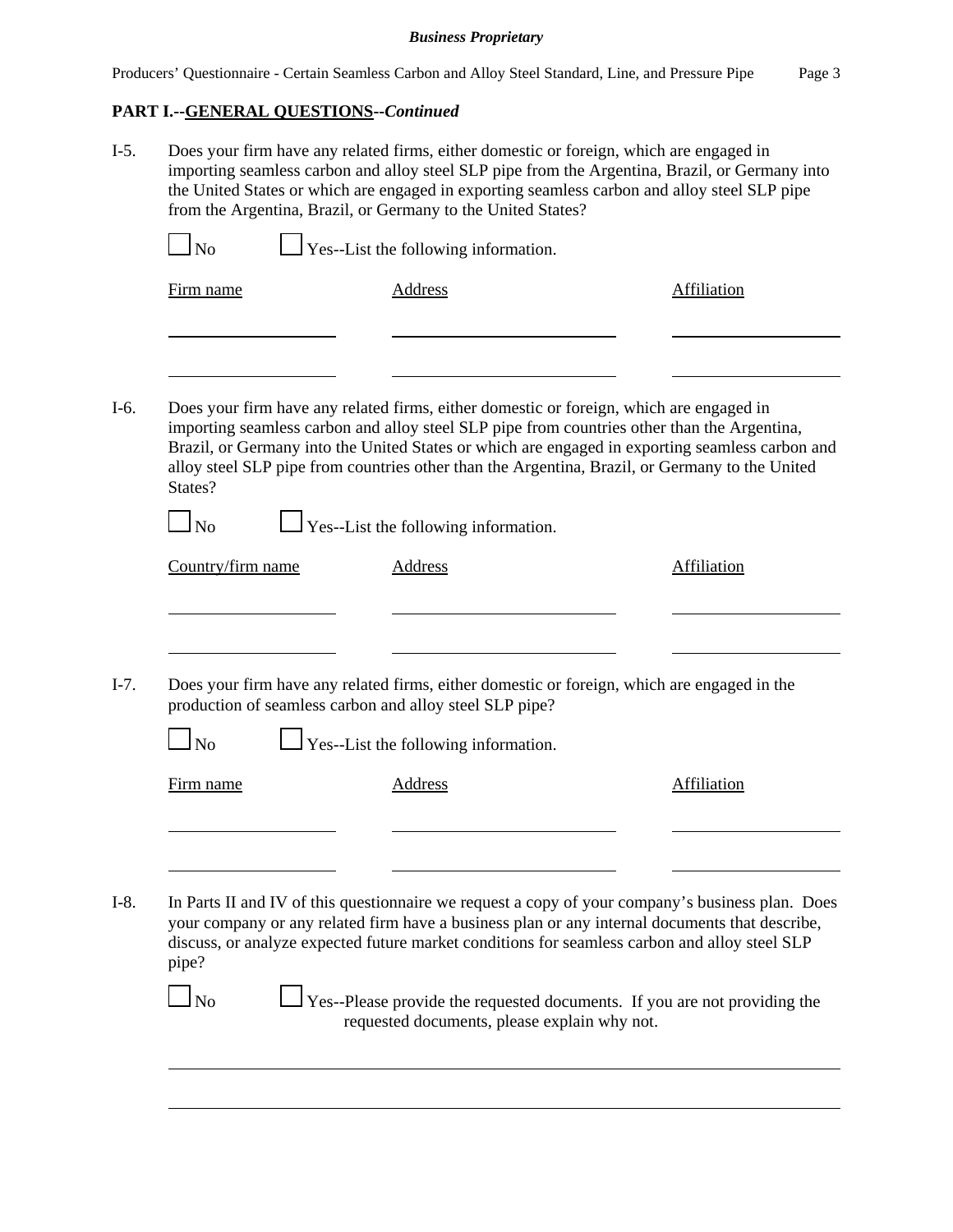# **PART I.--GENERAL QUESTIONS--***Continued*

|                   | $\Box$ Yes--List the following information.                                                                                                                                                                                                                                                                                                                                                 |                    |
|-------------------|---------------------------------------------------------------------------------------------------------------------------------------------------------------------------------------------------------------------------------------------------------------------------------------------------------------------------------------------------------------------------------------------|--------------------|
| Firm name         | <b>Address</b>                                                                                                                                                                                                                                                                                                                                                                              | <b>Affiliation</b> |
|                   |                                                                                                                                                                                                                                                                                                                                                                                             |                    |
| States?           | Does your firm have any related firms, either domestic or foreign, which are engaged in<br>importing seamless carbon and alloy steel SLP pipe from countries other than the Argentina,<br>Brazil, or Germany into the United States or which are engaged in exporting seamless carbon and<br>alloy steel SLP pipe from countries other than the Argentina, Brazil, or Germany to the United |                    |
| $\ln$             | $\Box$ Yes--List the following information.                                                                                                                                                                                                                                                                                                                                                 |                    |
| Country/firm name | <b>Address</b>                                                                                                                                                                                                                                                                                                                                                                              | <b>Affiliation</b> |
| $\ln$             | Does your firm have any related firms, either domestic or foreign, which are engaged in the<br>production of seamless carbon and alloy steel SLP pipe?<br>$\Box$ Yes--List the following information.                                                                                                                                                                                       |                    |
| Firm name         | <b>Address</b>                                                                                                                                                                                                                                                                                                                                                                              | <b>Affiliation</b> |
|                   |                                                                                                                                                                                                                                                                                                                                                                                             |                    |
| pipe?             | In Parts II and IV of this questionnaire we request a copy of your company's business plan. Does<br>your company or any related firm have a business plan or any internal documents that describe,<br>discuss, or analyze expected future market conditions for seamless carbon and alloy steel SLP                                                                                         |                    |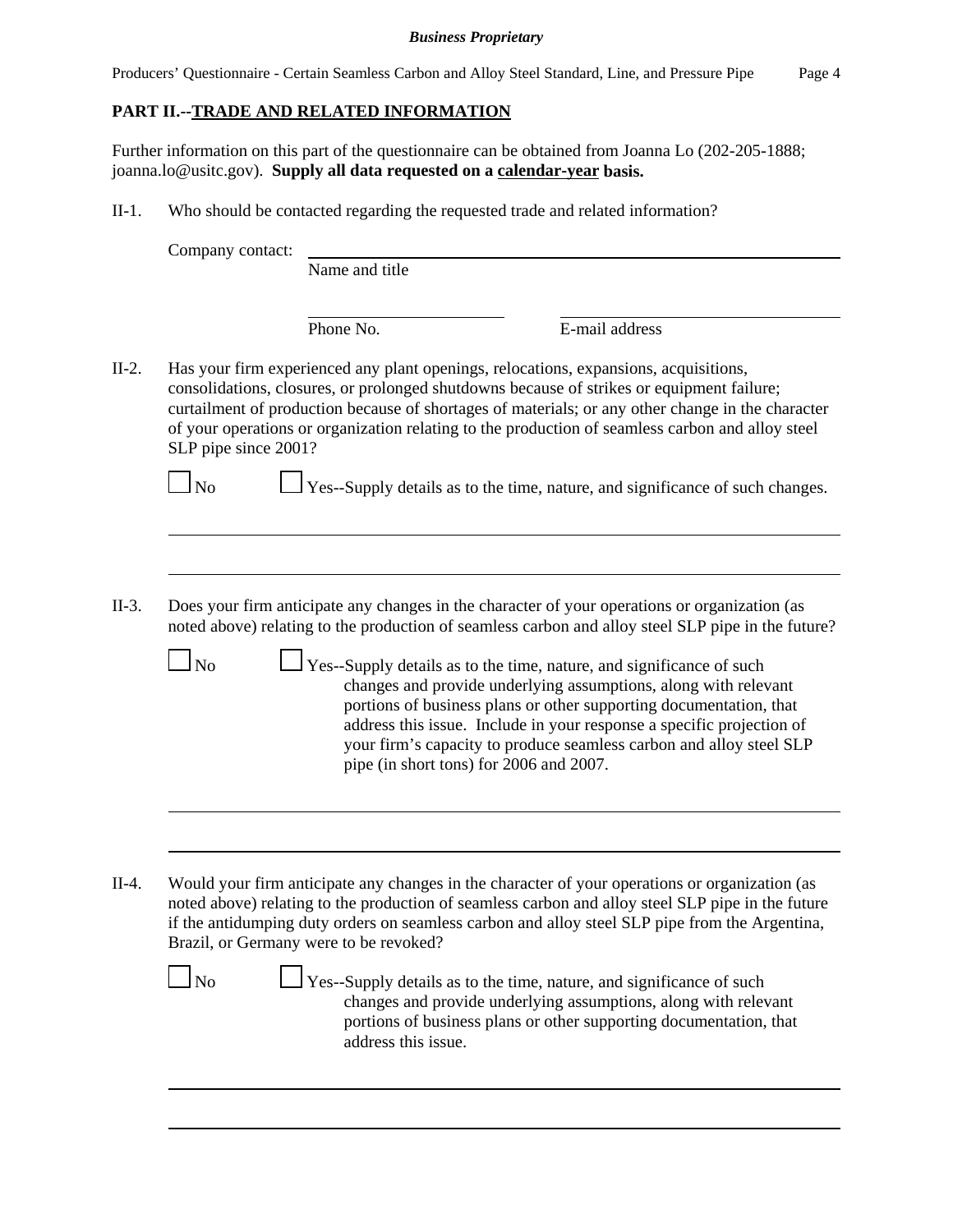Producers' Questionnaire - Certain Seamless Carbon and Alloy Steel Standard, Line, and Pressure Pipe Page 4

# **PART II.--TRADE AND RELATED INFORMATION**

Further information on this part of the questionnaire can be obtained from Joanna Lo (202-205-1888; joanna.lo@usitc.gov). **Supply all data requested on a calendar-year basis.**

II-1. Who should be contacted regarding the requested trade and related information?

Company contact: Name and title Phone No. **E**-mail address II-2. Has your firm experienced any plant openings, relocations, expansions, acquisitions, consolidations, closures, or prolonged shutdowns because of strikes or equipment failure; curtailment of production because of shortages of materials; or any other change in the character of your operations or organization relating to the production of seamless carbon and alloy steel SLP pipe since 2001?  $\Box$  No  $\Box$  Yes--Supply details as to the time, nature, and significance of such changes. II-3. Does your firm anticipate any changes in the character of your operations or organization (as noted above) relating to the production of seamless carbon and alloy steel SLP pipe in the future?  $\Box$  No  $\Box$  Yes--Supply details as to the time, nature, and significance of such changes and provide underlying assumptions, along with relevant portions of business plans or other supporting documentation, that address this issue. Include in your response a specific projection of your firm's capacity to produce seamless carbon and alloy steel SLP pipe (in short tons) for 2006 and 2007. II-4. Would your firm anticipate any changes in the character of your operations or organization (as noted above) relating to the production of seamless carbon and alloy steel SLP pipe in the future if the antidumping duty orders on seamless carbon and alloy steel SLP pipe from the Argentina, Brazil, or Germany were to be revoked?  $\Box$  No  $\Box$  Yes--Supply details as to the time, nature, and significance of such changes and provide underlying assumptions, along with relevant portions of business plans or other supporting documentation, that address this issue.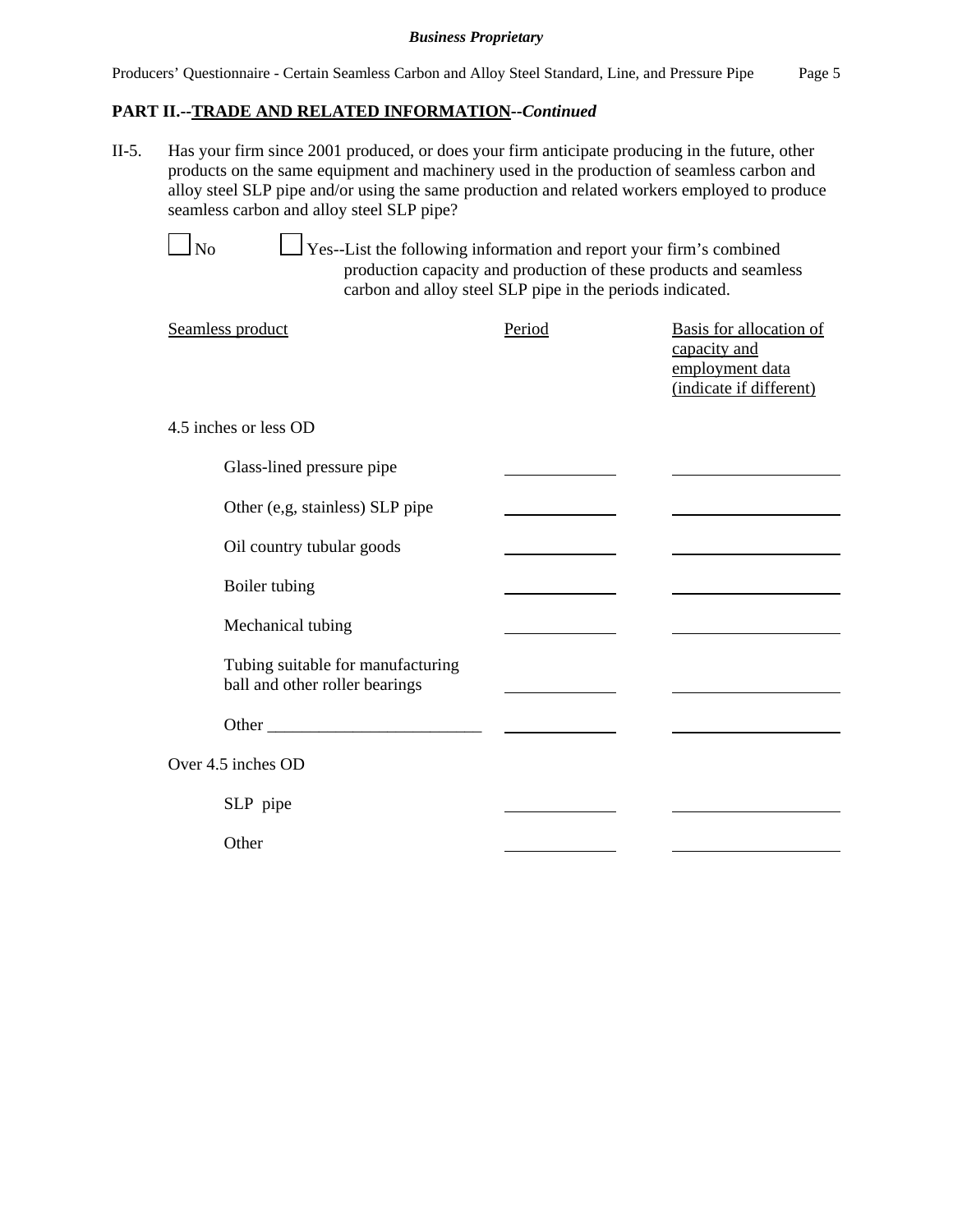# **PART II.--TRADE AND RELATED INFORMATION--***Continued*

II-5. Has your firm since 2001 produced, or does your firm anticipate producing in the future, other products on the same equipment and machinery used in the production of seamless carbon and alloy steel SLP pipe and/or using the same production and related workers employed to produce seamless carbon and alloy steel SLP pipe?

 $\Box$  No  $\Box$  Yes--List the following information and report your firm's combined production capacity and production of these products and seamless carbon and alloy steel SLP pipe in the periods indicated.

| Seamless product                                                    | Period | Basis for allocation of<br>capacity and<br>employment data<br>(indicate if different) |
|---------------------------------------------------------------------|--------|---------------------------------------------------------------------------------------|
| 4.5 inches or less OD                                               |        |                                                                                       |
| Glass-lined pressure pipe                                           |        |                                                                                       |
| Other (e,g, stainless) SLP pipe                                     |        |                                                                                       |
| Oil country tubular goods                                           |        |                                                                                       |
| Boiler tubing                                                       |        |                                                                                       |
| Mechanical tubing                                                   |        |                                                                                       |
| Tubing suitable for manufacturing<br>ball and other roller bearings |        |                                                                                       |
|                                                                     |        |                                                                                       |
| Over 4.5 inches OD                                                  |        |                                                                                       |
| SLP pipe                                                            |        |                                                                                       |
| Other                                                               |        |                                                                                       |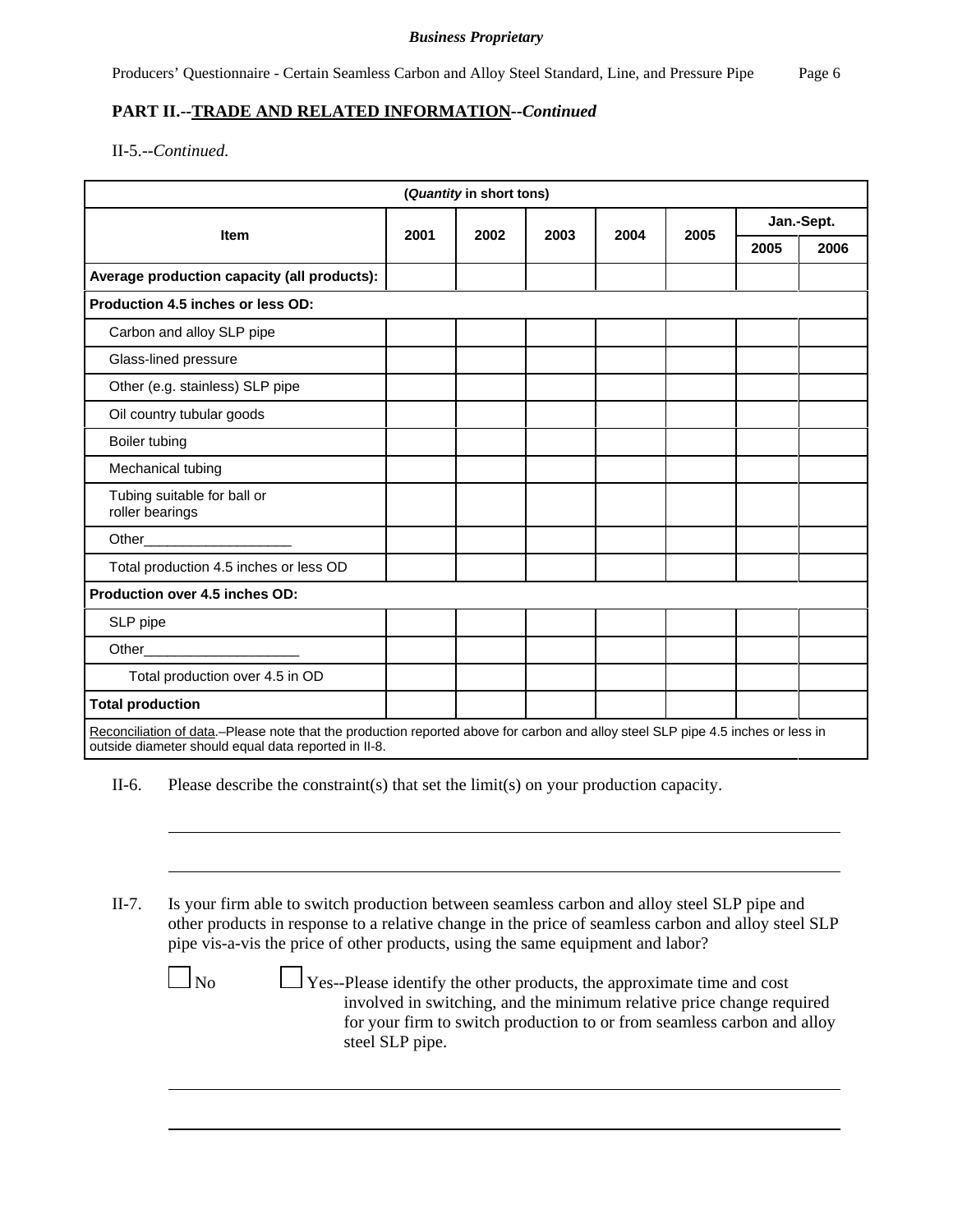# **PART II.--TRADE AND RELATED INFORMATION--***Continued*

II-5.--*Continued.*

| (Quantity in short tons)                                                                                                                                                                 |      |      |      |      |      |            |      |
|------------------------------------------------------------------------------------------------------------------------------------------------------------------------------------------|------|------|------|------|------|------------|------|
| <b>Item</b>                                                                                                                                                                              | 2001 | 2002 | 2003 | 2004 | 2005 | Jan.-Sept. |      |
|                                                                                                                                                                                          |      |      |      |      |      | 2005       | 2006 |
| Average production capacity (all products):                                                                                                                                              |      |      |      |      |      |            |      |
| Production 4.5 inches or less OD:                                                                                                                                                        |      |      |      |      |      |            |      |
| Carbon and alloy SLP pipe                                                                                                                                                                |      |      |      |      |      |            |      |
| Glass-lined pressure                                                                                                                                                                     |      |      |      |      |      |            |      |
| Other (e.g. stainless) SLP pipe                                                                                                                                                          |      |      |      |      |      |            |      |
| Oil country tubular goods                                                                                                                                                                |      |      |      |      |      |            |      |
| Boiler tubing                                                                                                                                                                            |      |      |      |      |      |            |      |
| Mechanical tubing                                                                                                                                                                        |      |      |      |      |      |            |      |
| Tubing suitable for ball or<br>roller bearings                                                                                                                                           |      |      |      |      |      |            |      |
| Other                                                                                                                                                                                    |      |      |      |      |      |            |      |
| Total production 4.5 inches or less OD                                                                                                                                                   |      |      |      |      |      |            |      |
| Production over 4.5 inches OD:                                                                                                                                                           |      |      |      |      |      |            |      |
| SLP pipe                                                                                                                                                                                 |      |      |      |      |      |            |      |
| Other                                                                                                                                                                                    |      |      |      |      |      |            |      |
| Total production over 4.5 in OD                                                                                                                                                          |      |      |      |      |      |            |      |
| <b>Total production</b>                                                                                                                                                                  |      |      |      |      |      |            |      |
| Reconciliation of data.–Please note that the production reported above for carbon and alloy steel SLP pipe 4.5 inches or less in<br>outside diameter should equal data reported in II-8. |      |      |      |      |      |            |      |

II-6. Please describe the constraint(s) that set the limit(s) on your production capacity.

II-7. Is your firm able to switch production between seamless carbon and alloy steel SLP pipe and other products in response to a relative change in the price of seamless carbon and alloy steel SLP pipe vis-a-vis the price of other products, using the same equipment and labor?

 $\Box$  No  $\Box$  Yes--Please identify the other products, the approximate time and cost involved in switching, and the minimum relative price change required for your firm to switch production to or from seamless carbon and alloy steel SLP pipe.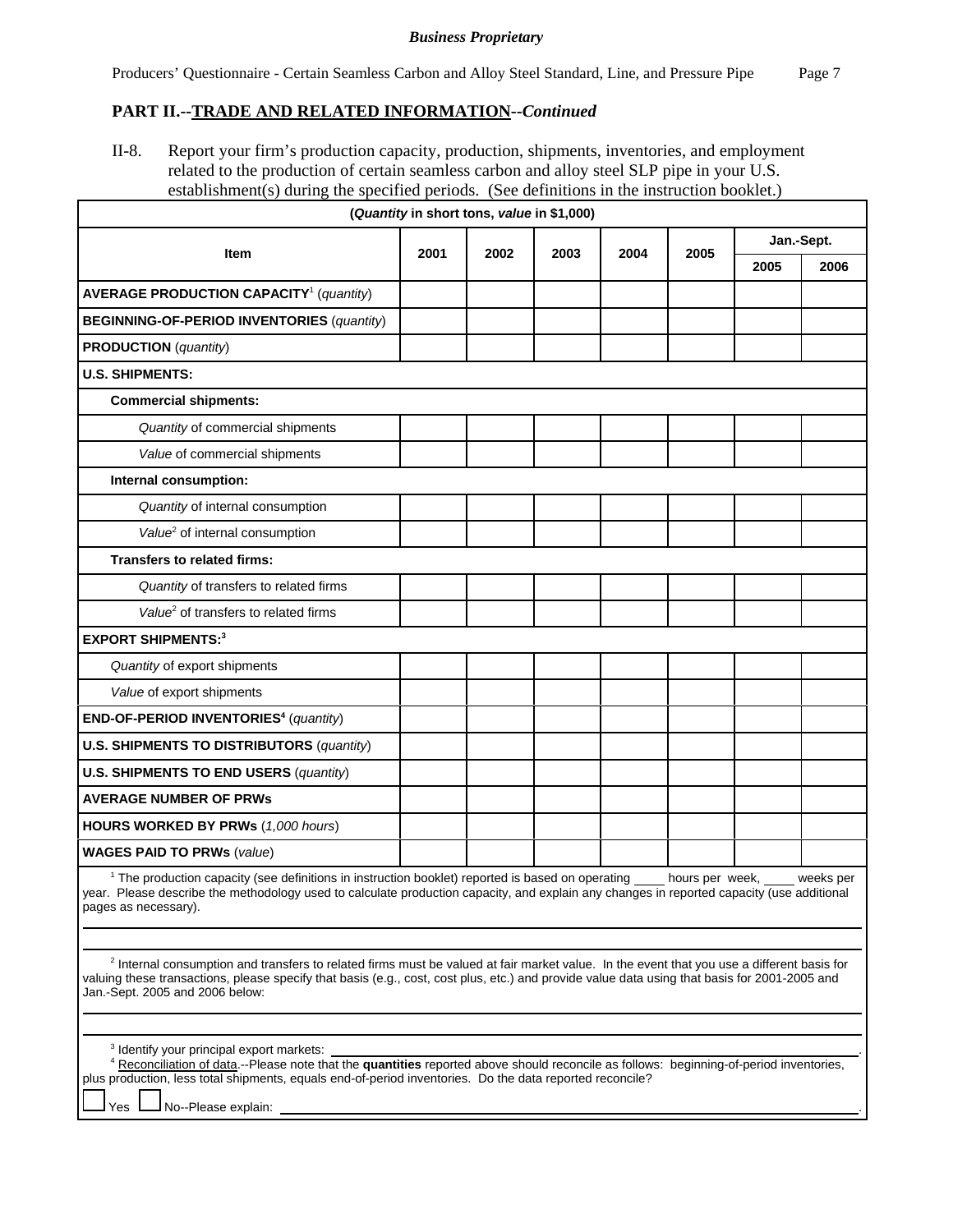## **PART II.--TRADE AND RELATED INFORMATION--***Continued*

II-8. Report your firm's production capacity, production, shipments, inventories, and employment related to the production of certain seamless carbon and alloy steel SLP pipe in your U.S. establishment(s) during the specified periods. (See definitions in the instruction booklet.)

| (Quantity in short tons, value in \$1,000)                                                                                                                                                                                                                                                                                                |  |  |  |  |  |      |           |  |
|-------------------------------------------------------------------------------------------------------------------------------------------------------------------------------------------------------------------------------------------------------------------------------------------------------------------------------------------|--|--|--|--|--|------|-----------|--|
| Jan.-Sept.<br><b>Item</b><br>2001<br>2002<br>2003<br>2004<br>2005                                                                                                                                                                                                                                                                         |  |  |  |  |  |      |           |  |
|                                                                                                                                                                                                                                                                                                                                           |  |  |  |  |  | 2005 | 2006      |  |
| <b>AVERAGE PRODUCTION CAPACITY<sup>1</sup></b> (quantity)                                                                                                                                                                                                                                                                                 |  |  |  |  |  |      |           |  |
| <b>BEGINNING-OF-PERIOD INVENTORIES (quantity)</b>                                                                                                                                                                                                                                                                                         |  |  |  |  |  |      |           |  |
| <b>PRODUCTION</b> (quantity)                                                                                                                                                                                                                                                                                                              |  |  |  |  |  |      |           |  |
| <b>U.S. SHIPMENTS:</b>                                                                                                                                                                                                                                                                                                                    |  |  |  |  |  |      |           |  |
| <b>Commercial shipments:</b>                                                                                                                                                                                                                                                                                                              |  |  |  |  |  |      |           |  |
| Quantity of commercial shipments                                                                                                                                                                                                                                                                                                          |  |  |  |  |  |      |           |  |
| Value of commercial shipments                                                                                                                                                                                                                                                                                                             |  |  |  |  |  |      |           |  |
| Internal consumption:                                                                                                                                                                                                                                                                                                                     |  |  |  |  |  |      |           |  |
| Quantity of internal consumption                                                                                                                                                                                                                                                                                                          |  |  |  |  |  |      |           |  |
| Value <sup>2</sup> of internal consumption                                                                                                                                                                                                                                                                                                |  |  |  |  |  |      |           |  |
| Transfers to related firms:                                                                                                                                                                                                                                                                                                               |  |  |  |  |  |      |           |  |
| Quantity of transfers to related firms                                                                                                                                                                                                                                                                                                    |  |  |  |  |  |      |           |  |
| Value <sup>2</sup> of transfers to related firms                                                                                                                                                                                                                                                                                          |  |  |  |  |  |      |           |  |
| <b>EXPORT SHIPMENTS:3</b>                                                                                                                                                                                                                                                                                                                 |  |  |  |  |  |      |           |  |
| Quantity of export shipments                                                                                                                                                                                                                                                                                                              |  |  |  |  |  |      |           |  |
| Value of export shipments                                                                                                                                                                                                                                                                                                                 |  |  |  |  |  |      |           |  |
| END-OF-PERIOD INVENTORIES <sup>4</sup> (quantity)                                                                                                                                                                                                                                                                                         |  |  |  |  |  |      |           |  |
| <b>U.S. SHIPMENTS TO DISTRIBUTORS (quantity)</b>                                                                                                                                                                                                                                                                                          |  |  |  |  |  |      |           |  |
| <b>U.S. SHIPMENTS TO END USERS (quantity)</b>                                                                                                                                                                                                                                                                                             |  |  |  |  |  |      |           |  |
| <b>AVERAGE NUMBER OF PRWS</b>                                                                                                                                                                                                                                                                                                             |  |  |  |  |  |      |           |  |
| HOURS WORKED BY PRWs (1,000 hours)                                                                                                                                                                                                                                                                                                        |  |  |  |  |  |      |           |  |
| <b>WAGES PAID TO PRWs (value)</b>                                                                                                                                                                                                                                                                                                         |  |  |  |  |  |      |           |  |
| <sup>1</sup> The production capacity (see definitions in instruction booklet) reported is based on operating ____ hours per week,<br>year. Please describe the methodology used to calculate production capacity, and explain any changes in reported capacity (use additional<br>pages as necessary).                                    |  |  |  |  |  |      | weeks per |  |
|                                                                                                                                                                                                                                                                                                                                           |  |  |  |  |  |      |           |  |
| <sup>2</sup> Internal consumption and transfers to related firms must be valued at fair market value. In the event that you use a different basis for<br>valuing these transactions, please specify that basis (e.g., cost, cost plus, etc.) and provide value data using that basis for 2001-2005 and<br>Jan.-Sept. 2005 and 2006 below: |  |  |  |  |  |      |           |  |

| <sup>3</sup> Identify your principal export markets:                                                                                    |  |
|-----------------------------------------------------------------------------------------------------------------------------------------|--|
| 4 Reconciliation of data.--Please note that the quantities reported above should reconcile as follows: beginning-of-period inventories, |  |
| plus production, less total shipments, equals end-of-period inventories. Do the data reported reconcile?                                |  |
| $\Box$ Yes $\Box$ No--Please explain:                                                                                                   |  |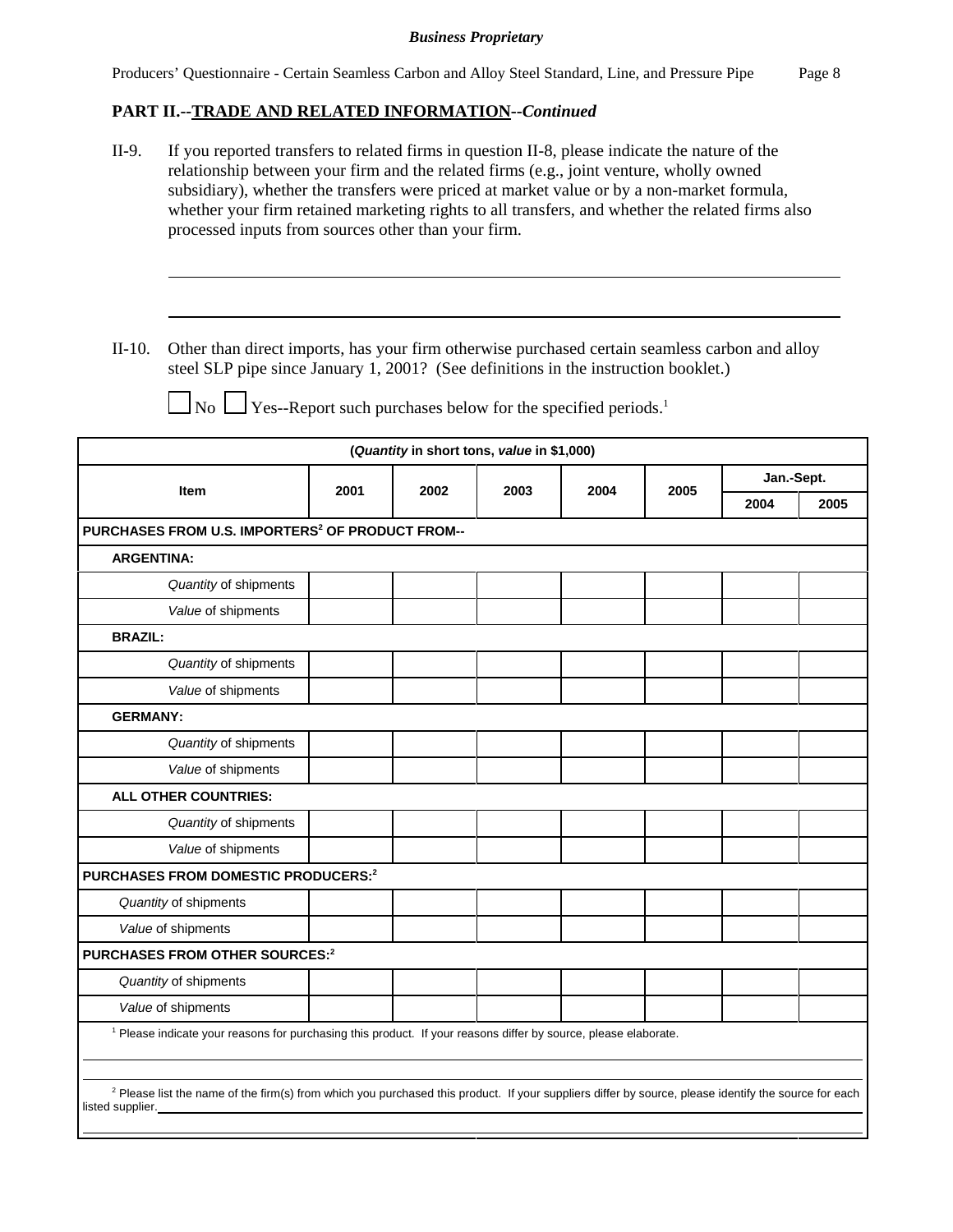# **PART II.--TRADE AND RELATED INFORMATION--***Continued*

| II-9.<br>If you reported transfers to related firms in question II-8, please indicate the nature of the<br>relationship between your firm and the related firms (e.g., joint venture, wholly owned<br>subsidiary), whether the transfers were priced at market value or by a non-market formula,<br>whether your firm retained marketing rights to all transfers, and whether the related firms also<br>processed inputs from sources other than your firm. |                                                                                                                                                                                       |      |      |                                            |      |      |      |            |  |  |
|-------------------------------------------------------------------------------------------------------------------------------------------------------------------------------------------------------------------------------------------------------------------------------------------------------------------------------------------------------------------------------------------------------------------------------------------------------------|---------------------------------------------------------------------------------------------------------------------------------------------------------------------------------------|------|------|--------------------------------------------|------|------|------|------------|--|--|
|                                                                                                                                                                                                                                                                                                                                                                                                                                                             |                                                                                                                                                                                       |      |      |                                            |      |      |      |            |  |  |
| $II-10.$                                                                                                                                                                                                                                                                                                                                                                                                                                                    | Other than direct imports, has your firm otherwise purchased certain seamless carbon and alloy<br>steel SLP pipe since January 1, 2001? (See definitions in the instruction booklet.) |      |      |                                            |      |      |      |            |  |  |
|                                                                                                                                                                                                                                                                                                                                                                                                                                                             | $\Box$ No $\Box$ Yes--Report such purchases below for the specified periods. <sup>1</sup>                                                                                             |      |      |                                            |      |      |      |            |  |  |
|                                                                                                                                                                                                                                                                                                                                                                                                                                                             |                                                                                                                                                                                       |      |      | (Quantity in short tons, value in \$1,000) |      |      |      |            |  |  |
|                                                                                                                                                                                                                                                                                                                                                                                                                                                             | Item                                                                                                                                                                                  | 2001 | 2002 | 2003                                       | 2004 | 2005 |      | Jan.-Sept. |  |  |
|                                                                                                                                                                                                                                                                                                                                                                                                                                                             |                                                                                                                                                                                       |      |      |                                            |      |      | 2004 | 2005       |  |  |
|                                                                                                                                                                                                                                                                                                                                                                                                                                                             | PURCHASES FROM U.S. IMPORTERS <sup>2</sup> OF PRODUCT FROM--                                                                                                                          |      |      |                                            |      |      |      |            |  |  |
| <b>ARGENTINA:</b>                                                                                                                                                                                                                                                                                                                                                                                                                                           |                                                                                                                                                                                       |      |      |                                            |      |      |      |            |  |  |
|                                                                                                                                                                                                                                                                                                                                                                                                                                                             | Quantity of shipments                                                                                                                                                                 |      |      |                                            |      |      |      |            |  |  |
|                                                                                                                                                                                                                                                                                                                                                                                                                                                             | Value of shipments                                                                                                                                                                    |      |      |                                            |      |      |      |            |  |  |
| <b>BRAZIL:</b>                                                                                                                                                                                                                                                                                                                                                                                                                                              |                                                                                                                                                                                       |      |      |                                            |      |      |      |            |  |  |
|                                                                                                                                                                                                                                                                                                                                                                                                                                                             | Quantity of shipments                                                                                                                                                                 |      |      |                                            |      |      |      |            |  |  |
|                                                                                                                                                                                                                                                                                                                                                                                                                                                             | Value of shipments                                                                                                                                                                    |      |      |                                            |      |      |      |            |  |  |
| <b>GERMANY:</b>                                                                                                                                                                                                                                                                                                                                                                                                                                             |                                                                                                                                                                                       |      |      |                                            |      |      |      |            |  |  |
|                                                                                                                                                                                                                                                                                                                                                                                                                                                             | Quantity of shipments                                                                                                                                                                 |      |      |                                            |      |      |      |            |  |  |
|                                                                                                                                                                                                                                                                                                                                                                                                                                                             | Value of shipments                                                                                                                                                                    |      |      |                                            |      |      |      |            |  |  |
|                                                                                                                                                                                                                                                                                                                                                                                                                                                             | <b>ALL OTHER COUNTRIES:</b>                                                                                                                                                           |      |      |                                            |      |      |      |            |  |  |
|                                                                                                                                                                                                                                                                                                                                                                                                                                                             | Quantity of shipments                                                                                                                                                                 |      |      |                                            |      |      |      |            |  |  |
|                                                                                                                                                                                                                                                                                                                                                                                                                                                             | Value of shipments                                                                                                                                                                    |      |      |                                            |      |      |      |            |  |  |
|                                                                                                                                                                                                                                                                                                                                                                                                                                                             | PURCHASES FROM DOMESTIC PRODUCERS: <sup>2</sup>                                                                                                                                       |      |      |                                            |      |      |      |            |  |  |
|                                                                                                                                                                                                                                                                                                                                                                                                                                                             | Quantity of shipments                                                                                                                                                                 |      |      |                                            |      |      |      |            |  |  |
|                                                                                                                                                                                                                                                                                                                                                                                                                                                             | Value of shipments                                                                                                                                                                    |      |      |                                            |      |      |      |            |  |  |
|                                                                                                                                                                                                                                                                                                                                                                                                                                                             | PURCHASES FROM OTHER SOURCES: <sup>2</sup>                                                                                                                                            |      |      |                                            |      |      |      |            |  |  |
|                                                                                                                                                                                                                                                                                                                                                                                                                                                             | Quantity of shipments                                                                                                                                                                 |      |      |                                            |      |      |      |            |  |  |
|                                                                                                                                                                                                                                                                                                                                                                                                                                                             | Value of shipments                                                                                                                                                                    |      |      |                                            |      |      |      |            |  |  |
|                                                                                                                                                                                                                                                                                                                                                                                                                                                             | <sup>1</sup> Please indicate your reasons for purchasing this product. If your reasons differ by source, please elaborate.                                                            |      |      |                                            |      |      |      |            |  |  |
|                                                                                                                                                                                                                                                                                                                                                                                                                                                             | <sup>2</sup> Please list the name of the firm(s) from which you purchased this product. If your suppliers differ by source, please identify the source for each                       |      |      |                                            |      |      |      |            |  |  |

listed supplier.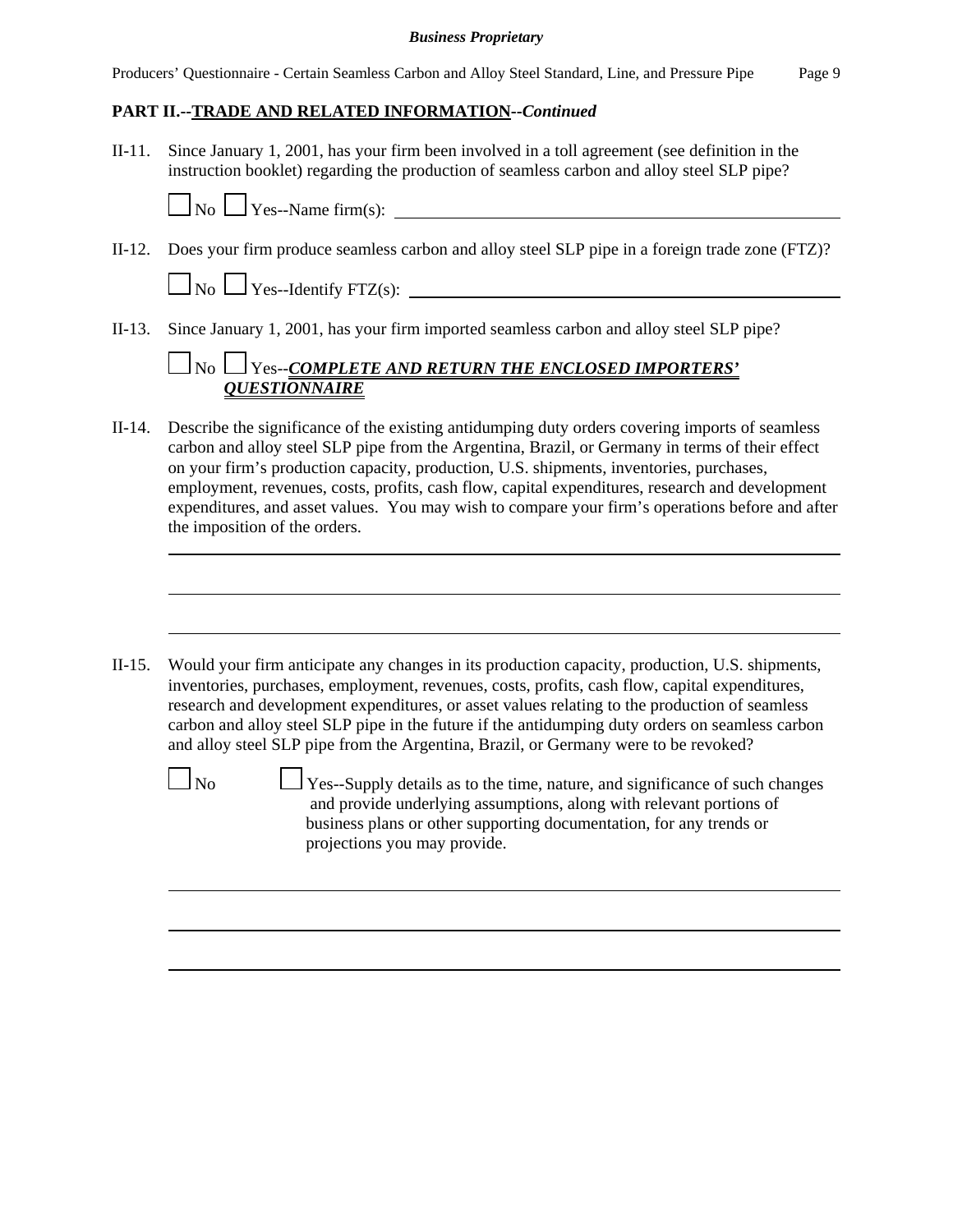# **PART II.--TRADE AND RELATED INFORMATION--***Continued*

II-11. Since January 1, 2001, has your firm been involved in a toll agreement (see definition in the instruction booklet) regarding the production of seamless carbon and alloy steel SLP pipe?



II-12. Does your firm produce seamless carbon and alloy steel SLP pipe in a foreign trade zone (FTZ)?

 $\Box$  No  $\Box$  Yes--Identify FTZ(s):  $\Box$ 

II-13. Since January 1, 2001, has your firm imported seamless carbon and alloy steel SLP pipe?

# No Yes--*COMPLETE AND RETURN THE ENCLOSED IMPORTERS' QUESTIONNAIRE*

- II-14. Describe the significance of the existing antidumping duty orders covering imports of seamless carbon and alloy steel SLP pipe from the Argentina, Brazil, or Germany in terms of their effect on your firm's production capacity, production, U.S. shipments, inventories, purchases, employment, revenues, costs, profits, cash flow, capital expenditures, research and development expenditures, and asset values. You may wish to compare your firm's operations before and after the imposition of the orders.
- II-15. Would your firm anticipate any changes in its production capacity, production, U.S. shipments, inventories, purchases, employment, revenues, costs, profits, cash flow, capital expenditures, research and development expenditures, or asset values relating to the production of seamless carbon and alloy steel SLP pipe in the future if the antidumping duty orders on seamless carbon and alloy steel SLP pipe from the Argentina, Brazil, or Germany were to be revoked?

 $\Box$  No  $\Box$  Yes--Supply details as to the time, nature, and significance of such changes and provide underlying assumptions, along with relevant portions of business plans or other supporting documentation, for any trends or projections you may provide.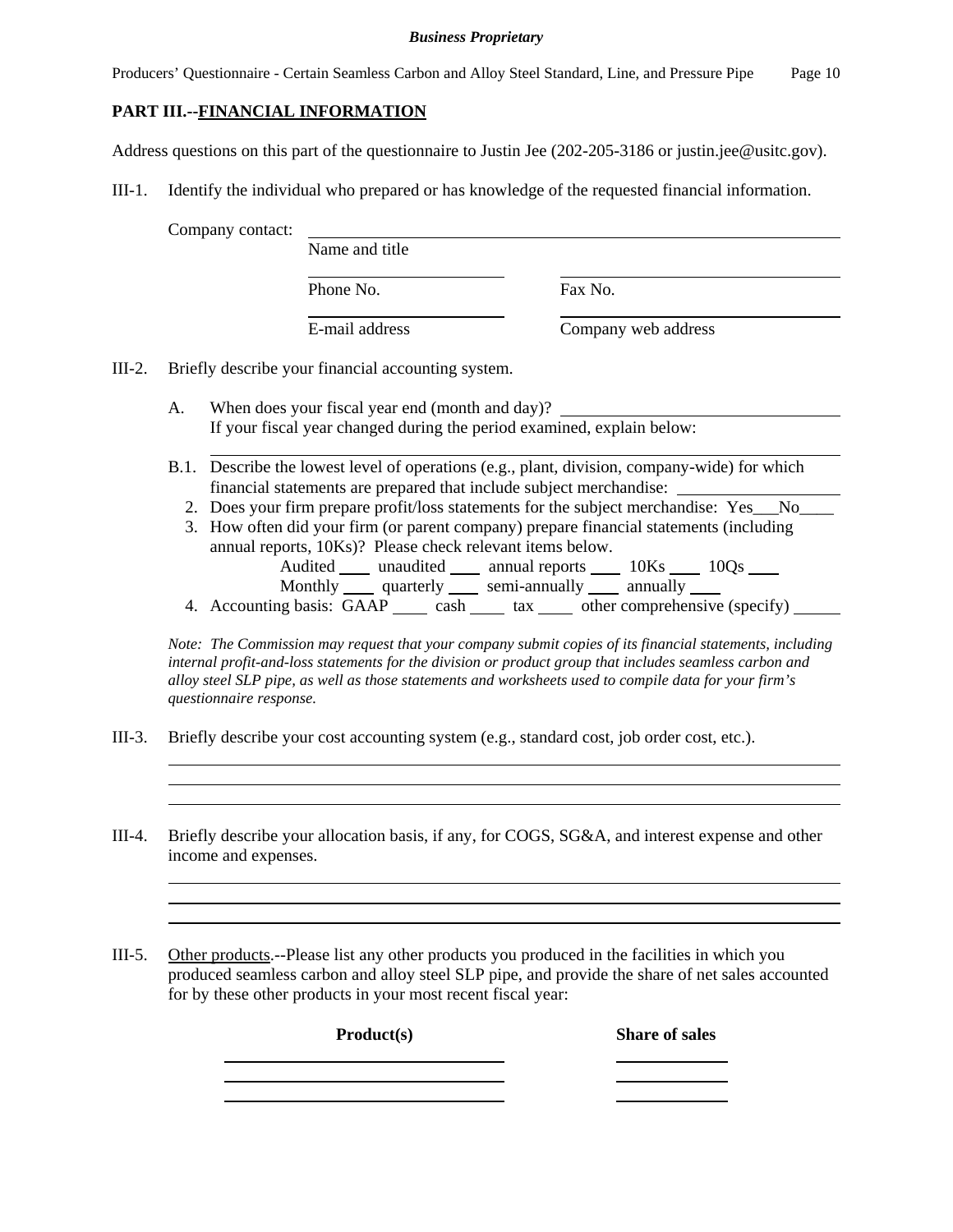Producers' Questionnaire - Certain Seamless Carbon and Alloy Steel Standard, Line, and Pressure Pipe Page 10

## **PART III.--FINANCIAL INFORMATION**

Address questions on this part of the questionnaire to Justin Jee (202-205-3186 or justin.jee@usitc.gov).

III-1. Identify the individual who prepared or has knowledge of the requested financial information.

Company contact:

Phone No. **Fax No.** 

Name and title

E-mail address Company web address

III-2. Briefly describe your financial accounting system.

- A. When does your fiscal year end (month and day)? If your fiscal year changed during the period examined, explain below:
- B.1. Describe the lowest level of operations (e.g., plant, division, company-wide) for which financial statements are prepared that include subject merchandise:
	- 2. Does your firm prepare profit/loss statements for the subject merchandise: Yes No
	- 3. How often did your firm (or parent company) prepare financial statements (including annual reports, 10Ks)? Please check relevant items below.
		- Audited unaudited annual reports 10Ks 10Qs
		- Monthly quarterly semi-annually annually
	- 4. Accounting basis: GAAP cash tax other comprehensive (specify)

*Note: The Commission may request that your company submit copies of its financial statements, including internal profit-and-loss statements for the division or product group that includes seamless carbon and alloy steel SLP pipe, as well as those statements and worksheets used to compile data for your firm's questionnaire response.*

the control of the control of the control of the control of the control of the control of the control of the control of the control of the control of the control of the control of the control of the control of the control

- III-3. Briefly describe your cost accounting system (e.g., standard cost, job order cost, etc.).
- III-4. Briefly describe your allocation basis, if any, for COGS, SG&A, and interest expense and other income and expenses.

III-5. Other products.--Please list any other products you produced in the facilities in which you produced seamless carbon and alloy steel SLP pipe, and provide the share of net sales accounted for by these other products in your most recent fiscal year:

**Product(s)** Share of sales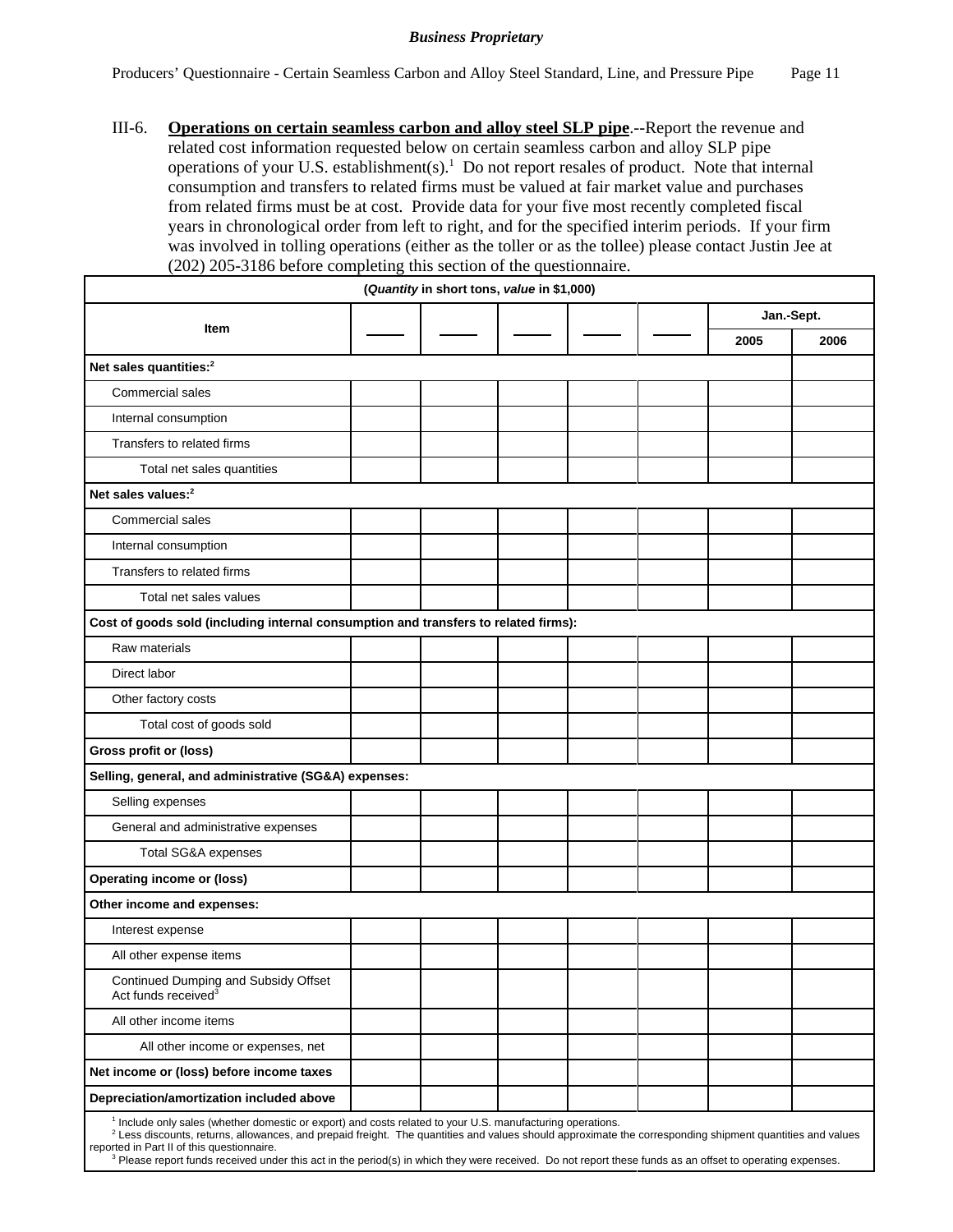III-6. **Operations on certain seamless carbon and alloy steel SLP pipe**.--Report the revenue and related cost information requested below on certain seamless carbon and alloy SLP pipe operations of your U.S. establishment(s).<sup>1</sup> Do not report resales of product. Note that internal consumption and transfers to related firms must be valued at fair market value and purchases from related firms must be at cost. Provide data for your five most recently completed fiscal years in chronological order from left to right, and for the specified interim periods. If your firm was involved in tolling operations (either as the toller or as the tollee) please contact Justin Jee at (202) 205-3186 before completing this section of the questionnaire.

|                                                                                                                                                                                                                                                                                                                                             | (Quantity in short tons, value in \$1,000) |  |            |      |
|---------------------------------------------------------------------------------------------------------------------------------------------------------------------------------------------------------------------------------------------------------------------------------------------------------------------------------------------|--------------------------------------------|--|------------|------|
|                                                                                                                                                                                                                                                                                                                                             |                                            |  | Jan.-Sept. |      |
| Item                                                                                                                                                                                                                                                                                                                                        |                                            |  | 2005       | 2006 |
| Net sales quantities: <sup>2</sup>                                                                                                                                                                                                                                                                                                          |                                            |  |            |      |
| Commercial sales                                                                                                                                                                                                                                                                                                                            |                                            |  |            |      |
| Internal consumption                                                                                                                                                                                                                                                                                                                        |                                            |  |            |      |
| Transfers to related firms                                                                                                                                                                                                                                                                                                                  |                                            |  |            |      |
| Total net sales quantities                                                                                                                                                                                                                                                                                                                  |                                            |  |            |      |
| Net sales values: <sup>2</sup>                                                                                                                                                                                                                                                                                                              |                                            |  |            |      |
| Commercial sales                                                                                                                                                                                                                                                                                                                            |                                            |  |            |      |
| Internal consumption                                                                                                                                                                                                                                                                                                                        |                                            |  |            |      |
| Transfers to related firms                                                                                                                                                                                                                                                                                                                  |                                            |  |            |      |
| Total net sales values                                                                                                                                                                                                                                                                                                                      |                                            |  |            |      |
| Cost of goods sold (including internal consumption and transfers to related firms):                                                                                                                                                                                                                                                         |                                            |  |            |      |
| Raw materials                                                                                                                                                                                                                                                                                                                               |                                            |  |            |      |
| Direct labor                                                                                                                                                                                                                                                                                                                                |                                            |  |            |      |
| Other factory costs                                                                                                                                                                                                                                                                                                                         |                                            |  |            |      |
| Total cost of goods sold                                                                                                                                                                                                                                                                                                                    |                                            |  |            |      |
| Gross profit or (loss)                                                                                                                                                                                                                                                                                                                      |                                            |  |            |      |
| Selling, general, and administrative (SG&A) expenses:                                                                                                                                                                                                                                                                                       |                                            |  |            |      |
| Selling expenses                                                                                                                                                                                                                                                                                                                            |                                            |  |            |      |
| General and administrative expenses                                                                                                                                                                                                                                                                                                         |                                            |  |            |      |
| Total SG&A expenses                                                                                                                                                                                                                                                                                                                         |                                            |  |            |      |
| <b>Operating income or (loss)</b>                                                                                                                                                                                                                                                                                                           |                                            |  |            |      |
| Other income and expenses:                                                                                                                                                                                                                                                                                                                  |                                            |  |            |      |
| Interest expense                                                                                                                                                                                                                                                                                                                            |                                            |  |            |      |
| All other expense items                                                                                                                                                                                                                                                                                                                     |                                            |  |            |      |
| Continued Dumping and Subsidy Offset<br>Act funds received <sup>3</sup>                                                                                                                                                                                                                                                                     |                                            |  |            |      |
| All other income items                                                                                                                                                                                                                                                                                                                      |                                            |  |            |      |
| All other income or expenses, net                                                                                                                                                                                                                                                                                                           |                                            |  |            |      |
| Net income or (loss) before income taxes                                                                                                                                                                                                                                                                                                    |                                            |  |            |      |
| Depreciation/amortization included above                                                                                                                                                                                                                                                                                                    |                                            |  |            |      |
| <sup>1</sup> Include only sales (whether domestic or export) and costs related to your U.S. manufacturing operations.<br><sup>2</sup> Less discounts, returns, allowances, and prepaid freight. The quantities and values should approximate the corresponding shipment quantities and values<br>reported in Part II of this questionnaire. |                                            |  |            |      |

<sup>3</sup> Please report funds received under this act in the period(s) in which they were received. Do not report these funds as an offset to operating expenses.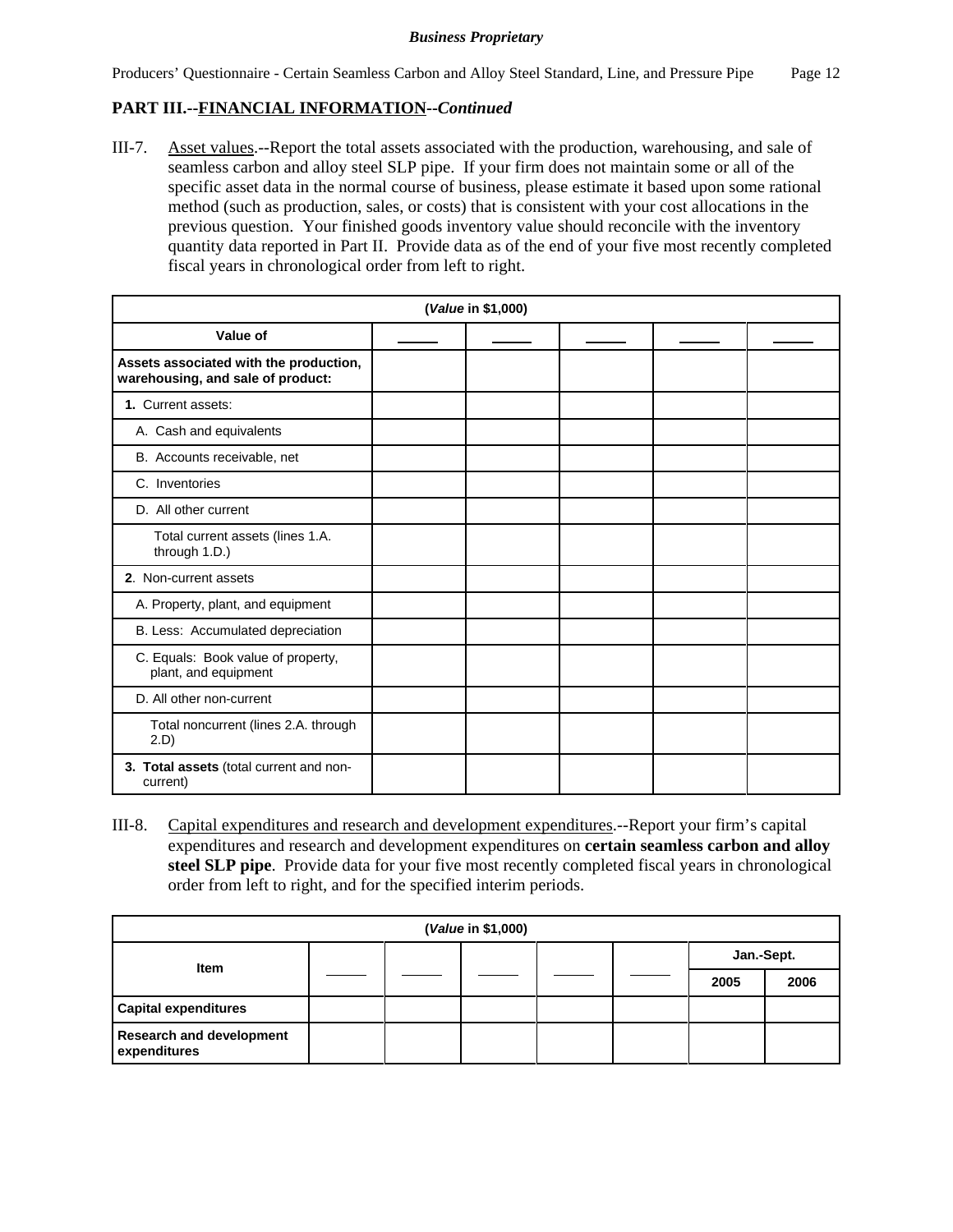# **PART III.--FINANCIAL INFORMATION--***Continued*

III-7. Asset values.--Report the total assets associated with the production, warehousing, and sale of seamless carbon and alloy steel SLP pipe. If your firm does not maintain some or all of the specific asset data in the normal course of business, please estimate it based upon some rational method (such as production, sales, or costs) that is consistent with your cost allocations in the previous question. Your finished goods inventory value should reconcile with the inventory quantity data reported in Part II. Provide data as of the end of your five most recently completed fiscal years in chronological order from left to right.

| (Value in \$1,000)                                                          |  |  |  |  |  |  |  |
|-----------------------------------------------------------------------------|--|--|--|--|--|--|--|
| Value of                                                                    |  |  |  |  |  |  |  |
| Assets associated with the production,<br>warehousing, and sale of product: |  |  |  |  |  |  |  |
| 1. Current assets:                                                          |  |  |  |  |  |  |  |
| A. Cash and equivalents                                                     |  |  |  |  |  |  |  |
| B. Accounts receivable, net                                                 |  |  |  |  |  |  |  |
| C. Inventories                                                              |  |  |  |  |  |  |  |
| D. All other current                                                        |  |  |  |  |  |  |  |
| Total current assets (lines 1.A.<br>through 1.D.)                           |  |  |  |  |  |  |  |
| 2. Non-current assets                                                       |  |  |  |  |  |  |  |
| A. Property, plant, and equipment                                           |  |  |  |  |  |  |  |
| B. Less: Accumulated depreciation                                           |  |  |  |  |  |  |  |
| C. Equals: Book value of property,<br>plant, and equipment                  |  |  |  |  |  |  |  |
| D. All other non-current                                                    |  |  |  |  |  |  |  |
| Total noncurrent (lines 2.A. through<br>2.D                                 |  |  |  |  |  |  |  |
| 3. Total assets (total current and non-<br>current)                         |  |  |  |  |  |  |  |

III-8. Capital expenditures and research and development expenditures.--Report your firm's capital expenditures and research and development expenditures on **certain seamless carbon and alloy steel SLP pipe**. Provide data for your five most recently completed fiscal years in chronological order from left to right, and for the specified interim periods.

| (Value in \$1,000)                              |  |  |  |  |  |            |      |  |  |
|-------------------------------------------------|--|--|--|--|--|------------|------|--|--|
| <b>Item</b>                                     |  |  |  |  |  | Jan.-Sept. |      |  |  |
|                                                 |  |  |  |  |  | 2005       | 2006 |  |  |
| <b>Capital expenditures</b>                     |  |  |  |  |  |            |      |  |  |
| <b>Research and development</b><br>expenditures |  |  |  |  |  |            |      |  |  |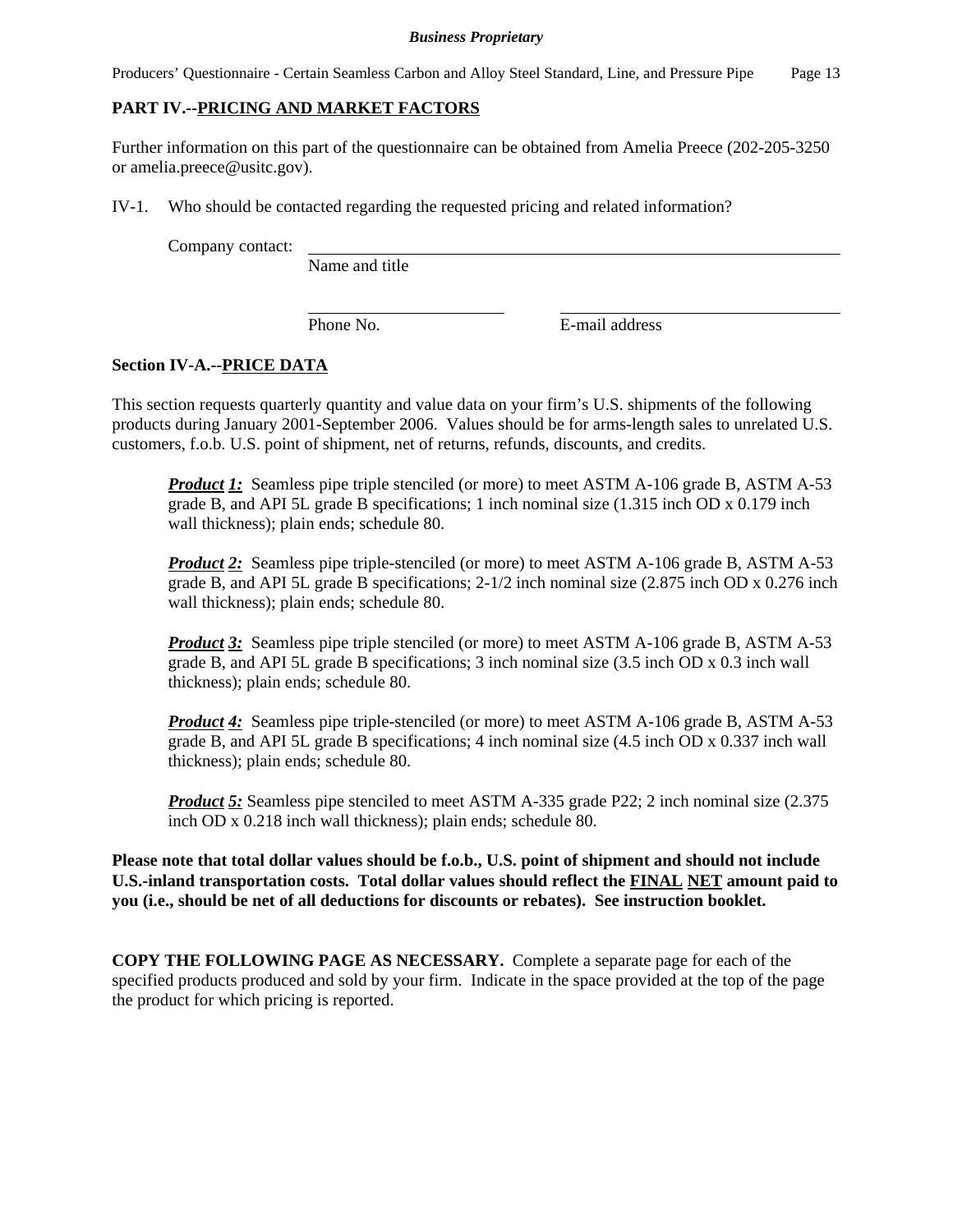Producers' Questionnaire - Certain Seamless Carbon and Alloy Steel Standard, Line, and Pressure Pipe Page 13

# **PART IV.--PRICING AND MARKET FACTORS**

Further information on this part of the questionnaire can be obtained from Amelia Preece (202-205-3250 or amelia.preece@usitc.gov).

IV-1. Who should be contacted regarding the requested pricing and related information?

Company contact:

Name and title

Phone No. **E**-mail address

## **Section IV-A.--PRICE DATA**

This section requests quarterly quantity and value data on your firm's U.S. shipments of the following products during January 2001-September 2006. Values should be for arms-length sales to unrelated U.S. customers, f.o.b. U.S. point of shipment, net of returns, refunds, discounts, and credits.

*Product 1:* Seamless pipe triple stenciled (or more) to meet ASTM A-106 grade B, ASTM A-53 grade B, and API 5L grade B specifications; 1 inch nominal size (1.315 inch OD x 0.179 inch wall thickness); plain ends; schedule 80.

**Product 2:** Seamless pipe triple-stenciled (or more) to meet ASTM A-106 grade B, ASTM A-53 grade B, and API 5L grade B specifications; 2-1/2 inch nominal size (2.875 inch OD x 0.276 inch wall thickness); plain ends; schedule 80.

*Product 3:* Seamless pipe triple stenciled (or more) to meet ASTM A-106 grade B, ASTM A-53 grade B, and API 5L grade B specifications; 3 inch nominal size (3.5 inch OD x 0.3 inch wall thickness); plain ends; schedule 80.

*Product 4:* Seamless pipe triple-stenciled (or more) to meet ASTM A-106 grade B, ASTM A-53 grade B, and API 5L grade B specifications; 4 inch nominal size (4.5 inch OD x 0.337 inch wall thickness); plain ends; schedule 80.

*Product 5:* Seamless pipe stenciled to meet ASTM A-335 grade P22; 2 inch nominal size (2.375) inch OD x 0.218 inch wall thickness); plain ends; schedule 80.

**Please note that total dollar values should be f.o.b., U.S. point of shipment and should not include U.S.-inland transportation costs. Total dollar values should reflect the FINAL NET amount paid to you (i.e., should be net of all deductions for discounts or rebates). See instruction booklet.**

**COPY THE FOLLOWING PAGE AS NECESSARY.** Complete a separate page for each of the specified products produced and sold by your firm. Indicate in the space provided at the top of the page the product for which pricing is reported.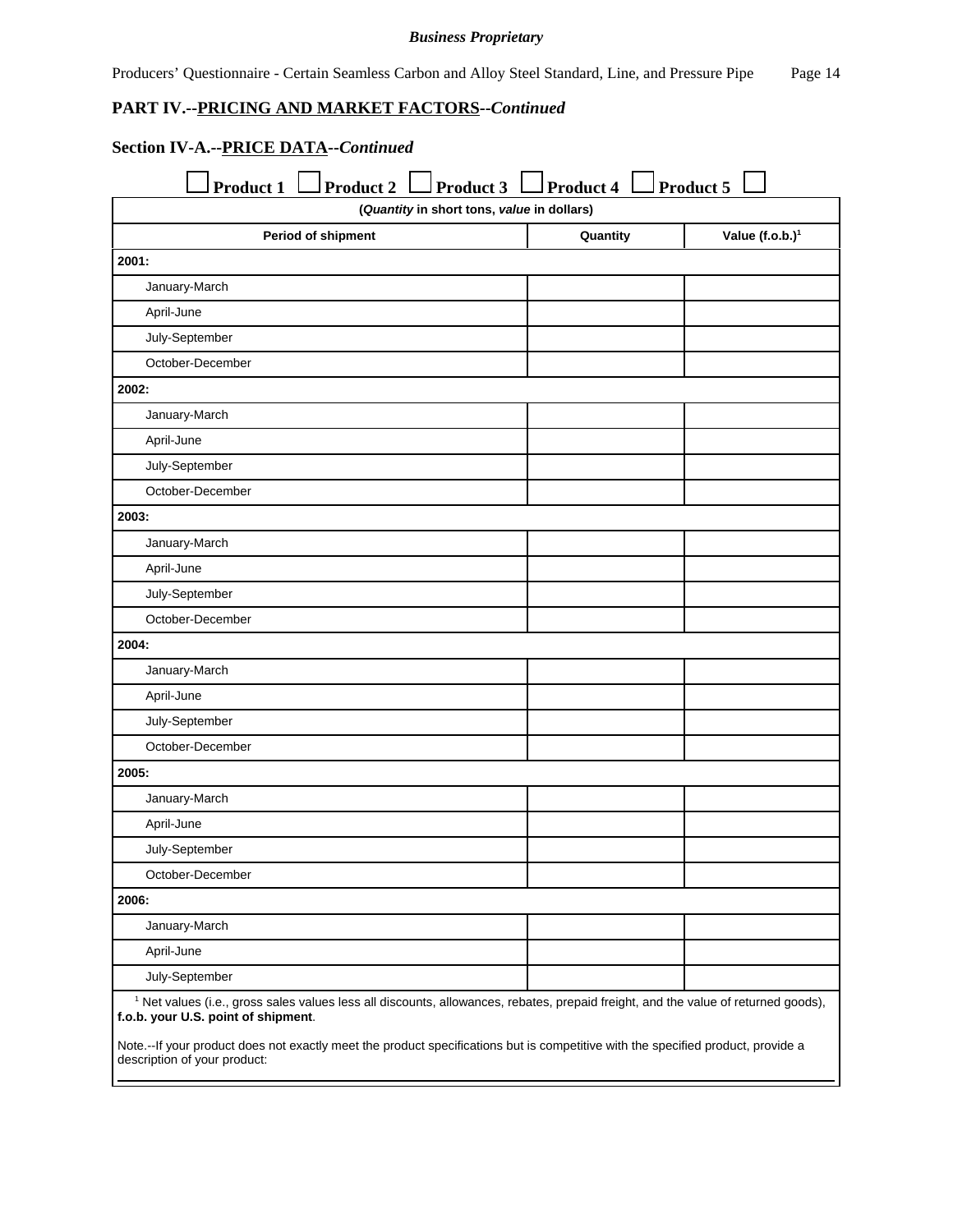Producers' Questionnaire - Certain Seamless Carbon and Alloy Steel Standard, Line, and Pressure Pipe Page 14

### **PART IV.--PRICING AND MARKET FACTORS--***Continued*

# **Section IV-A.--PRICE DATA--***Continued*

| <b>Product 1</b><br><b>Product 2</b><br>Product 3                                                                                                                                    | Product 4 | Product 5                   |
|--------------------------------------------------------------------------------------------------------------------------------------------------------------------------------------|-----------|-----------------------------|
| (Quantity in short tons, value in dollars)                                                                                                                                           |           |                             |
| Period of shipment                                                                                                                                                                   | Quantity  | Value (f.o.b.) <sup>1</sup> |
| 2001:                                                                                                                                                                                |           |                             |
| January-March                                                                                                                                                                        |           |                             |
| April-June                                                                                                                                                                           |           |                             |
| July-September                                                                                                                                                                       |           |                             |
| October-December                                                                                                                                                                     |           |                             |
| 2002:                                                                                                                                                                                |           |                             |
| January-March                                                                                                                                                                        |           |                             |
| April-June                                                                                                                                                                           |           |                             |
| July-September                                                                                                                                                                       |           |                             |
| October-December                                                                                                                                                                     |           |                             |
| 2003:                                                                                                                                                                                |           |                             |
| January-March                                                                                                                                                                        |           |                             |
| April-June                                                                                                                                                                           |           |                             |
| July-September                                                                                                                                                                       |           |                             |
| October-December                                                                                                                                                                     |           |                             |
| 2004:                                                                                                                                                                                |           |                             |
| January-March                                                                                                                                                                        |           |                             |
| April-June                                                                                                                                                                           |           |                             |
| July-September                                                                                                                                                                       |           |                             |
| October-December                                                                                                                                                                     |           |                             |
| 2005:                                                                                                                                                                                |           |                             |
| January-March                                                                                                                                                                        |           |                             |
| April-June                                                                                                                                                                           |           |                             |
| July-September                                                                                                                                                                       |           |                             |
| October-December                                                                                                                                                                     |           |                             |
| 2006:                                                                                                                                                                                |           |                             |
| January-March                                                                                                                                                                        |           |                             |
| April-June                                                                                                                                                                           |           |                             |
| July-September                                                                                                                                                                       |           |                             |
| <sup>1</sup> Net values (i.e., gross sales values less all discounts, allowances, rebates, prepaid freight, and the value of returned goods),<br>f.o.b. your U.S. point of shipment. |           |                             |

Note.--If your product does not exactly meet the product specifications but is competitive with the specified product, provide a description of your product: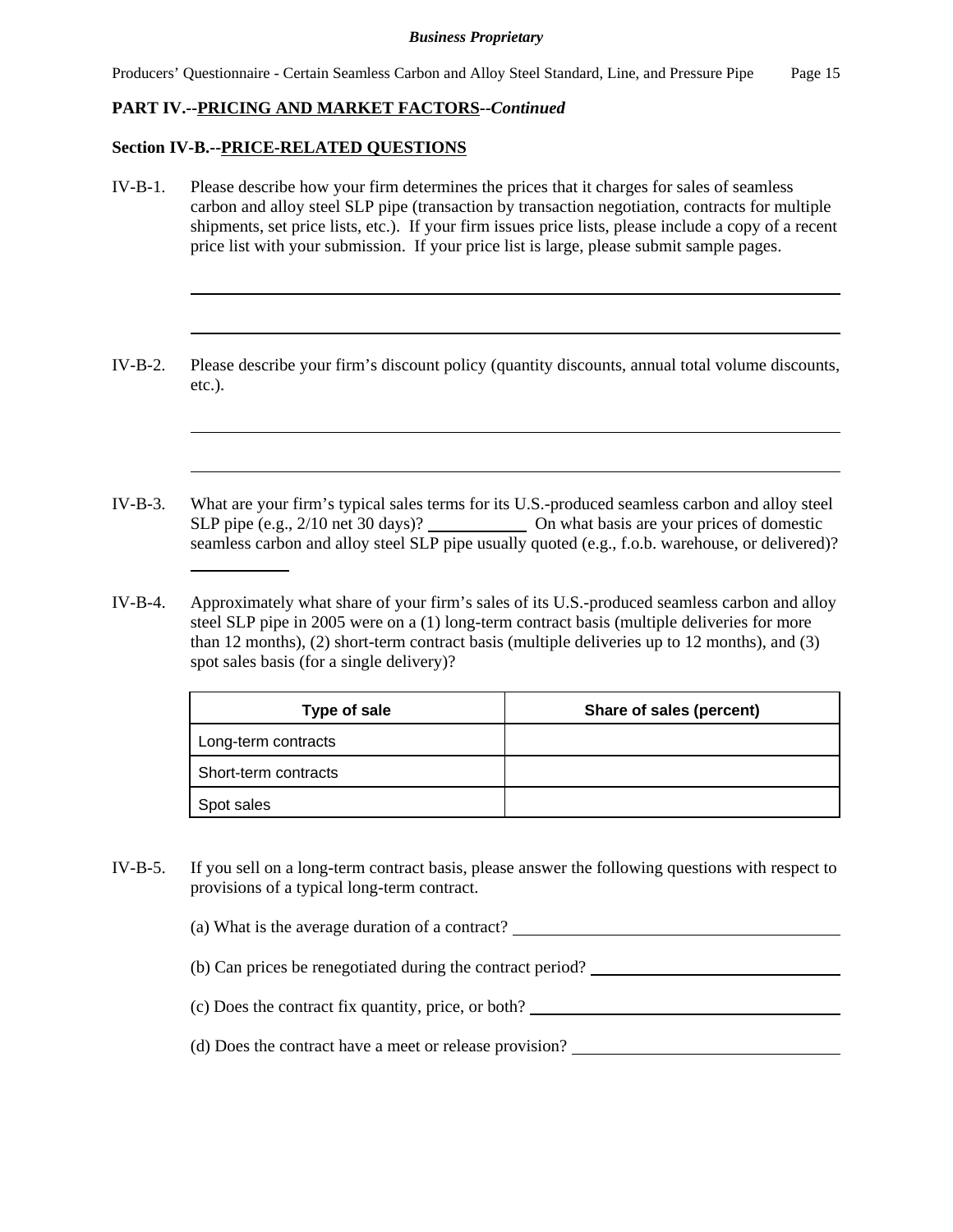# **PART IV.--PRICING AND MARKET FACTORS--***Continued*

## **Section IV-B.--PRICE-RELATED QUESTIONS**

- IV-B-1. Please describe how your firm determines the prices that it charges for sales of seamless carbon and alloy steel SLP pipe (transaction by transaction negotiation, contracts for multiple shipments, set price lists, etc.). If your firm issues price lists, please include a copy of a recent price list with your submission. If your price list is large, please submit sample pages.
- IV-B-2. Please describe your firm's discount policy (quantity discounts, annual total volume discounts, etc.).
- IV-B-3. What are your firm's typical sales terms for its U.S.-produced seamless carbon and alloy steel SLP pipe (e.g., 2/10 net 30 days)? On what basis are your prices of domestic seamless carbon and alloy steel SLP pipe usually quoted (e.g., f.o.b. warehouse, or delivered)? l
- IV-B-4. Approximately what share of your firm's sales of its U.S.-produced seamless carbon and alloy steel SLP pipe in 2005 were on a (1) long-term contract basis (multiple deliveries for more than 12 months), (2) short-term contract basis (multiple deliveries up to 12 months), and (3) spot sales basis (for a single delivery)?

| Type of sale         | Share of sales (percent) |
|----------------------|--------------------------|
| Long-term contracts  |                          |
| Short-term contracts |                          |
| Spot sales           |                          |

- IV-B-5. If you sell on a long-term contract basis, please answer the following questions with respect to provisions of a typical long-term contract.
	- (a) What is the average duration of a contract?
	- (b) Can prices be renegotiated during the contract period?
	- (c) Does the contract fix quantity, price, or both?
	- (d) Does the contract have a meet or release provision?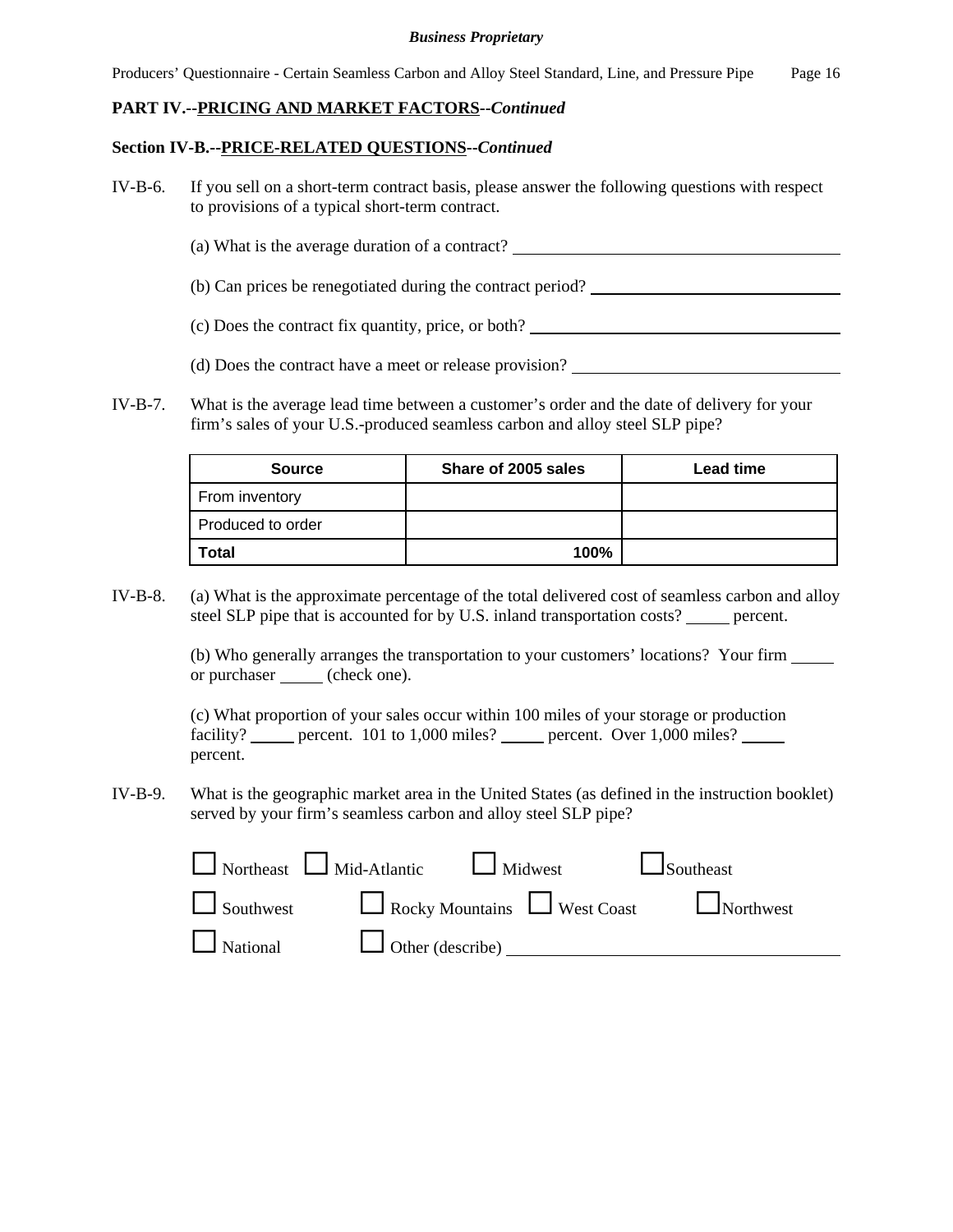Producers' Questionnaire - Certain Seamless Carbon and Alloy Steel Standard, Line, and Pressure Pipe Page 16

## **PART IV.--PRICING AND MARKET FACTORS--***Continued*

#### **Section IV-B.--PRICE-RELATED QUESTIONS--***Continued*

- IV-B-6. If you sell on a short-term contract basis, please answer the following questions with respect to provisions of a typical short-term contract.
	- (a) What is the average duration of a contract?
	- (b) Can prices be renegotiated during the contract period?
	- (c) Does the contract fix quantity, price, or both?
	- (d) Does the contract have a meet or release provision?
- IV-B-7. What is the average lead time between a customer's order and the date of delivery for your firm's sales of your U.S.-produced seamless carbon and alloy steel SLP pipe?

| <b>Source</b>     | Share of 2005 sales | <b>Lead time</b> |
|-------------------|---------------------|------------------|
| From inventory    |                     |                  |
| Produced to order |                     |                  |
| <b>Total</b>      | 100%                |                  |

IV-B-8. (a) What is the approximate percentage of the total delivered cost of seamless carbon and alloy steel SLP pipe that is accounted for by U.S. inland transportation costs? \_\_\_\_\_ percent.

> (b) Who generally arranges the transportation to your customers' locations? Your firm or purchaser <u>(</u>check one).

(c) What proportion of your sales occur within 100 miles of your storage or production facility? percent. 101 to 1,000 miles? percent. Over 1,000 miles? percent.

IV-B-9. What is the geographic market area in the United States (as defined in the instruction booklet) served by your firm's seamless carbon and alloy steel SLP pipe?

|                 | $\Box$ Northeast $\Box$ Mid-Atlantic $\Box$ Midwest | $\Box$ Southeast                               |  |
|-----------------|-----------------------------------------------------|------------------------------------------------|--|
|                 |                                                     | Southwest Rocky Mountains West Coast Northwest |  |
| $\Box$ National | $\Box$ Other (describe) $\Box$                      |                                                |  |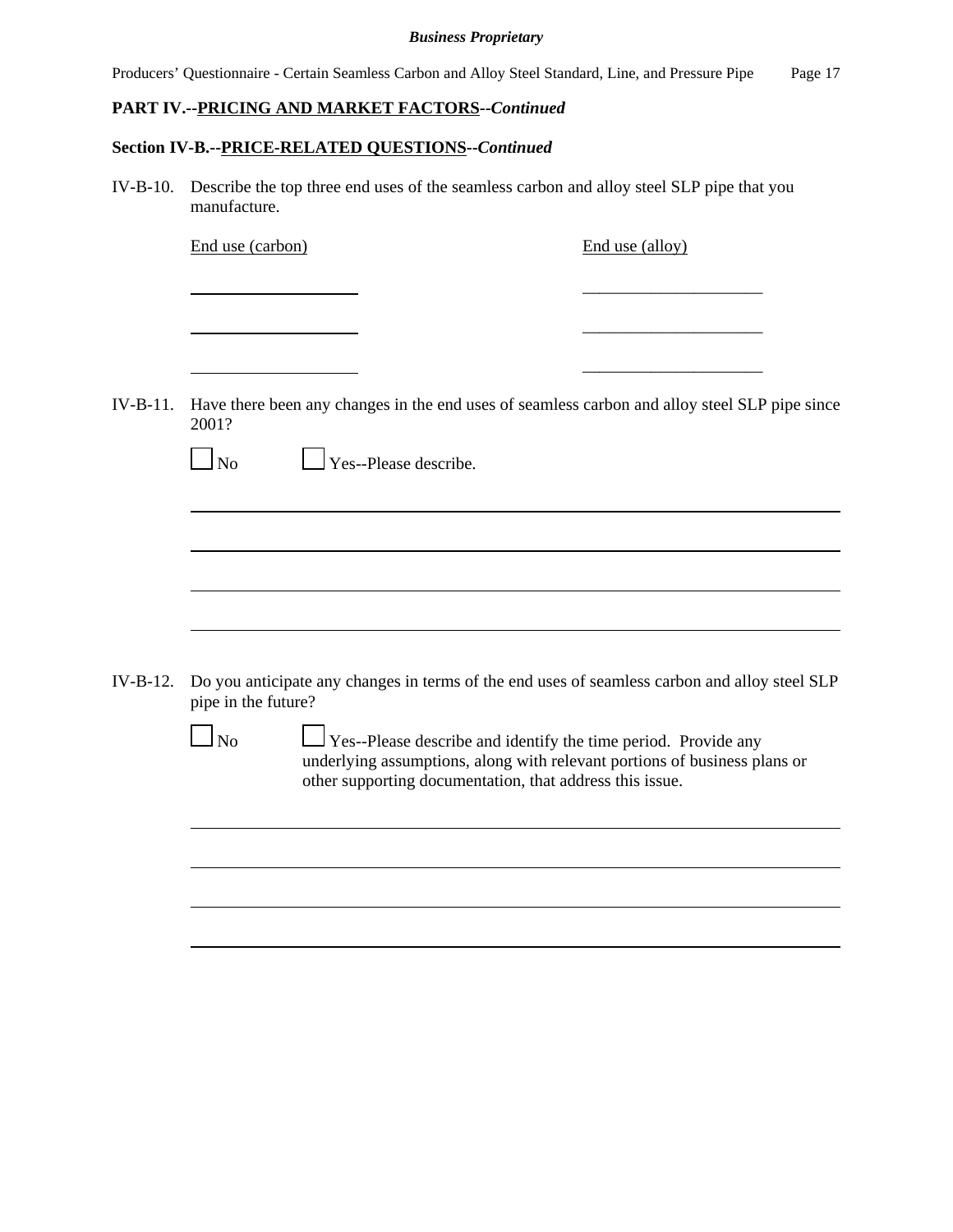Producers' Questionnaire - Certain Seamless Carbon and Alloy Steel Standard, Line, and Pressure Pipe Page 17

# **PART IV.--PRICING AND MARKET FACTORS--***Continued*

# **Section IV-B.--PRICE-RELATED QUESTIONS--***Continued*

IV-B-10. Describe the top three end uses of the seamless carbon and alloy steel SLP pipe that you manufacture.

End use (carbon) End use (alloy)

\_\_\_\_\_\_\_\_\_\_\_\_\_\_\_\_\_\_\_\_\_

\_\_\_\_\_\_\_\_\_\_\_\_\_\_\_\_\_\_\_\_\_

\_\_\_\_\_\_\_\_\_\_\_\_\_\_\_\_\_\_\_\_\_

| IV-B-11. | 2001?               | Have there been any changes in the end uses of seamless carbon and alloy steel SLP pipe since                                                                                                                  |
|----------|---------------------|----------------------------------------------------------------------------------------------------------------------------------------------------------------------------------------------------------------|
|          | $\Box$ No           | Yes--Please describe.                                                                                                                                                                                          |
|          |                     |                                                                                                                                                                                                                |
|          |                     |                                                                                                                                                                                                                |
|          |                     |                                                                                                                                                                                                                |
|          |                     |                                                                                                                                                                                                                |
| IV-B-12. | pipe in the future? | Do you anticipate any changes in terms of the end uses of seamless carbon and alloy steel SLP                                                                                                                  |
|          | $\Box$ No           | $\Box$ Yes--Please describe and identify the time period. Provide any<br>underlying assumptions, along with relevant portions of business plans or<br>other supporting documentation, that address this issue. |
|          |                     |                                                                                                                                                                                                                |
|          |                     |                                                                                                                                                                                                                |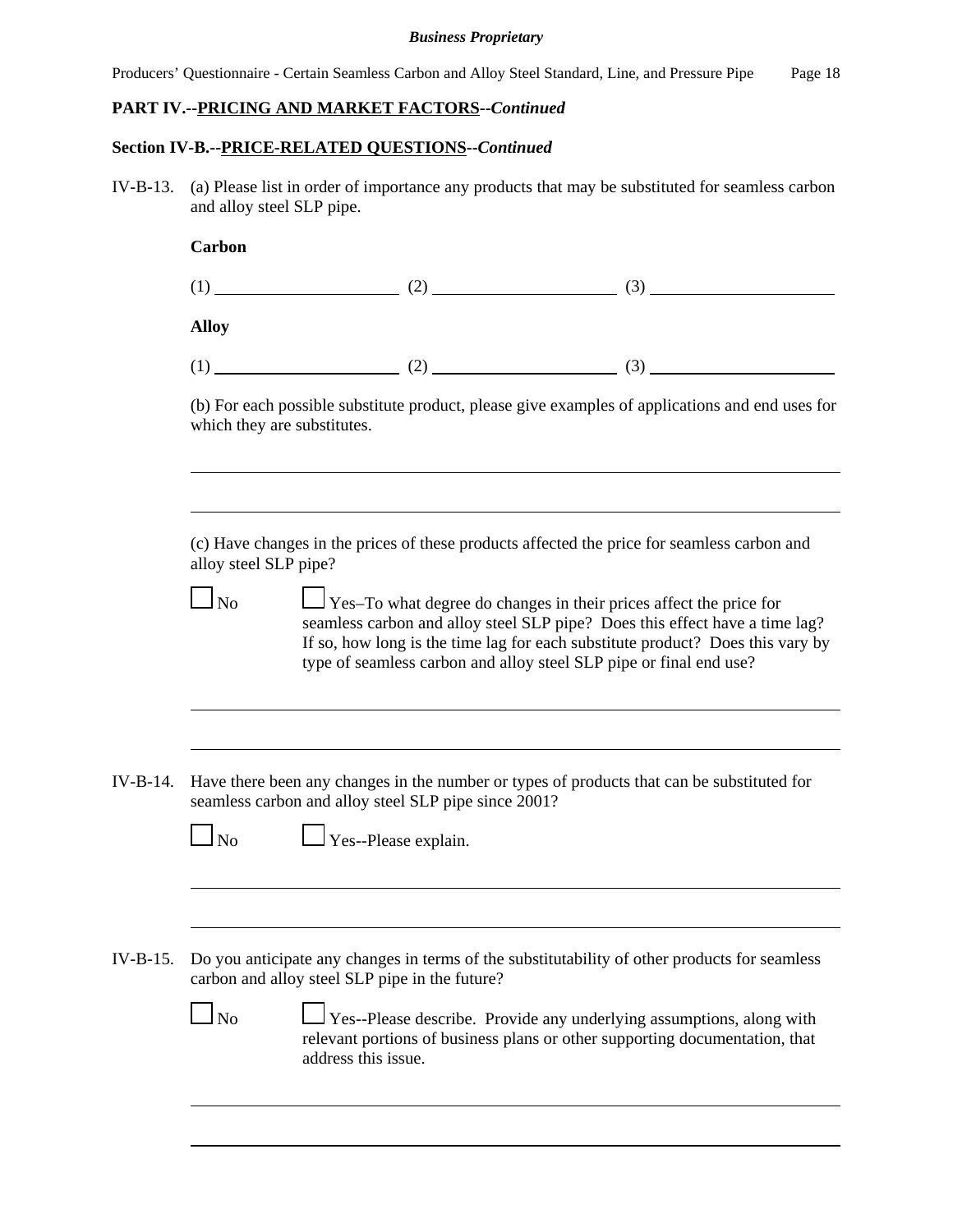Producers' Questionnaire - Certain Seamless Carbon and Alloy Steel Standard, Line, and Pressure Pipe Page 18

## **PART IV.--PRICING AND MARKET FACTORS--***Continued*

### **Section IV-B.--PRICE-RELATED QUESTIONS--***Continued*

IV-B-13. (a) Please list in order of importance any products that may be substituted for seamless carbon and alloy steel SLP pipe.

| <b>Carbon</b> |    |     |
|---------------|----|-----|
|               | ∠  | (3) |
| <b>Alloy</b>  |    |     |
|               | ົາ | (3) |

(b) For each possible substitute product, please give examples of applications and end uses for which they are substitutes.

(c) Have changes in the prices of these products affected the price for seamless carbon and alloy steel SLP pipe?

|  |  | ۰. |  |  |  |  |  |  |  |  |  |  |  |  |
|--|--|----|--|--|--|--|--|--|--|--|--|--|--|--|
|  |  |    |  |  |  |  |  |  |  |  |  |  |  |  |
|  |  |    |  |  |  |  |  |  |  |  |  |  |  |  |
|  |  |    |  |  |  |  |  |  |  |  |  |  |  |  |
|  |  |    |  |  |  |  |  |  |  |  |  |  |  |  |

 $\Box$  Yes–To what degree do changes in their prices affect the price for seamless carbon and alloy steel SLP pipe? Does this effect have a time lag? If so, how long is the time lag for each substitute product? Does this vary by type of seamless carbon and alloy steel SLP pipe or final end use?

IV-B-14. Have there been any changes in the number or types of products that can be substituted for seamless carbon and alloy steel SLP pipe since 2001?

|--|--|

 $\Box$  Yes--Please explain.

IV-B-15. Do you anticipate any changes in terms of the substitutability of other products for seamless carbon and alloy steel SLP pipe in the future?

<u> 1980 - Johann Barn, mars ann an t-Amhain Aonaich an t-Aonaich an t-Aonaich ann an t-Aonaich ann an t-Aonaich</u>

 No Yes--Please describe. Provide any underlying assumptions, along with relevant portions of business plans or other supporting documentation, that address this issue.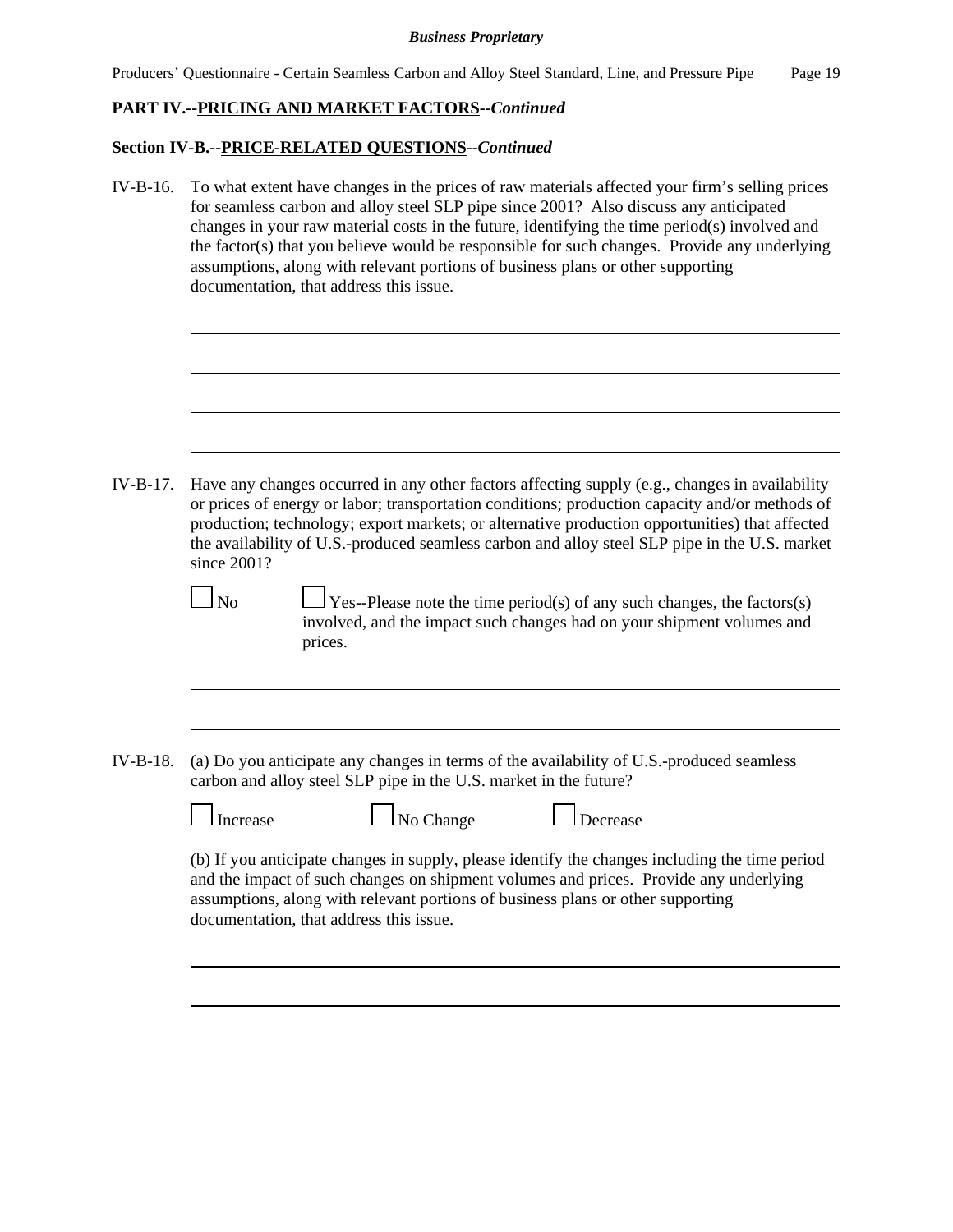Producers' Questionnaire - Certain Seamless Carbon and Alloy Steel Standard, Line, and Pressure Pipe Page 19

# **PART IV.--PRICING AND MARKET FACTORS--***Continued*

## **Section IV-B.--PRICE-RELATED QUESTIONS--***Continued*

IV-B-16. To what extent have changes in the prices of raw materials affected your firm's selling prices for seamless carbon and alloy steel SLP pipe since 2001? Also discuss any anticipated changes in your raw material costs in the future, identifying the time period(s) involved and the factor(s) that you believe would be responsible for such changes. Provide any underlying assumptions, along with relevant portions of business plans or other supporting documentation, that address this issue.

IV-B-17. Have any changes occurred in any other factors affecting supply (e.g., changes in availability or prices of energy or labor; transportation conditions; production capacity and/or methods of production; technology; export markets; or alternative production opportunities) that affected the availability of U.S.-produced seamless carbon and alloy steel SLP pipe in the U.S. market since 2001?

| ۰. |
|----|
|----|

 $\Box$  Yes--Please note the time period(s) of any such changes, the factors(s) involved, and the impact such changes had on your shipment volumes and prices.

- IV-B-18. (a) Do you anticipate any changes in terms of the availability of U.S.-produced seamless carbon and alloy steel SLP pipe in the U.S. market in the future?
	-
- $\Box$  No Change  $\Box$  Decrease

(b) If you anticipate changes in supply, please identify the changes including the time period and the impact of such changes on shipment volumes and prices. Provide any underlying assumptions, along with relevant portions of business plans or other supporting documentation, that address this issue.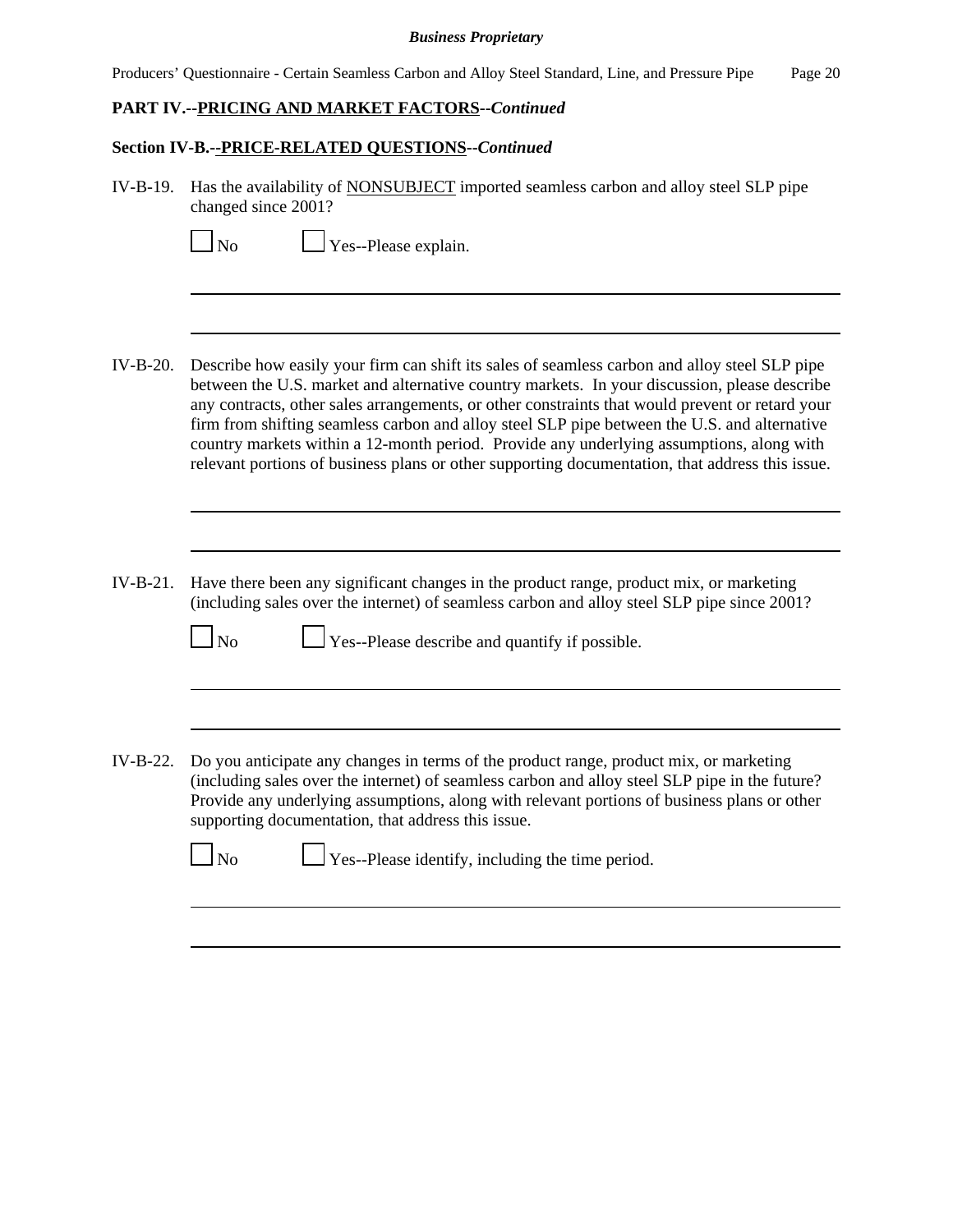Producers' Questionnaire - Certain Seamless Carbon and Alloy Steel Standard, Line, and Pressure Pipe Page 20

# **PART IV.--PRICING AND MARKET FACTORS--***Continued*

### **Section IV-B.--PRICE-RELATED QUESTIONS--***Continued*

| IV-B-19. Has the availability of NONSUBJECT imported seamless carbon and alloy steel SLP pipe |
|-----------------------------------------------------------------------------------------------|
| changed since 2001?                                                                           |

| Yes--Please explain.                                                                                                                                                                                                                                                                                                                                                                                                                                                                                                                                                                            |
|-------------------------------------------------------------------------------------------------------------------------------------------------------------------------------------------------------------------------------------------------------------------------------------------------------------------------------------------------------------------------------------------------------------------------------------------------------------------------------------------------------------------------------------------------------------------------------------------------|
|                                                                                                                                                                                                                                                                                                                                                                                                                                                                                                                                                                                                 |
| Describe how easily your firm can shift its sales of seamless carbon and alloy steel SLP pipe<br>between the U.S. market and alternative country markets. In your discussion, please describe<br>any contracts, other sales arrangements, or other constraints that would prevent or retard your<br>firm from shifting seamless carbon and alloy steel SLP pipe between the U.S. and alternative<br>country markets within a 12-month period. Provide any underlying assumptions, along with<br>relevant portions of business plans or other supporting documentation, that address this issue. |
| Have there been any significant changes in the product range, product mix, or marketing<br>(including sales over the internet) of seamless carbon and alloy steel SLP pipe since 2001?<br>$\Box$ Yes--Please describe and quantify if possible.<br>No                                                                                                                                                                                                                                                                                                                                           |
|                                                                                                                                                                                                                                                                                                                                                                                                                                                                                                                                                                                                 |
|                                                                                                                                                                                                                                                                                                                                                                                                                                                                                                                                                                                                 |

IV-B-22. Do you anticipate any changes in terms of the product range, product mix, or marketing (including sales over the internet) of seamless carbon and alloy steel SLP pipe in the future? Provide any underlying assumptions, along with relevant portions of business plans or other supporting documentation, that address this issue.

 $\Box$  No  $\Box$  Yes--Please identify, including the time period.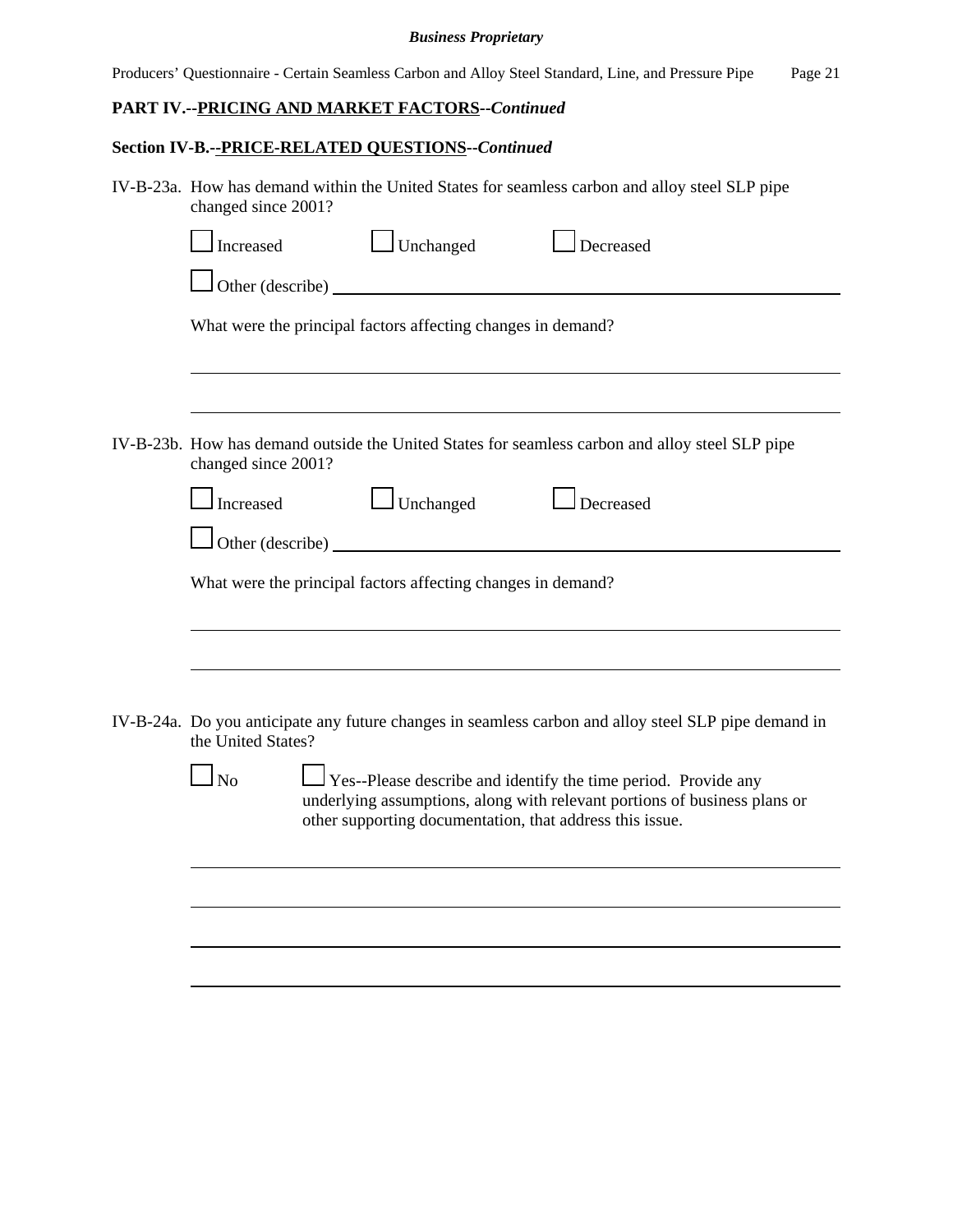Producers' Questionnaire - Certain Seamless Carbon and Alloy Steel Standard, Line, and Pressure Pipe Page 21

# **PART IV.--PRICING AND MARKET FACTORS--***Continued*

# **Section IV-B.--PRICE-RELATED QUESTIONS--***Continued*

| Increased                       | $\Box$ Unchanged | $\Box$ Decreased                                                                                                                                                                                                                                                                                                                                                                                                                                                                                                                                                                            |
|---------------------------------|------------------|---------------------------------------------------------------------------------------------------------------------------------------------------------------------------------------------------------------------------------------------------------------------------------------------------------------------------------------------------------------------------------------------------------------------------------------------------------------------------------------------------------------------------------------------------------------------------------------------|
|                                 |                  |                                                                                                                                                                                                                                                                                                                                                                                                                                                                                                                                                                                             |
|                                 |                  |                                                                                                                                                                                                                                                                                                                                                                                                                                                                                                                                                                                             |
|                                 |                  |                                                                                                                                                                                                                                                                                                                                                                                                                                                                                                                                                                                             |
|                                 |                  |                                                                                                                                                                                                                                                                                                                                                                                                                                                                                                                                                                                             |
| Increased                       | $\Box$ Unchanged | $\Box$ Decreased                                                                                                                                                                                                                                                                                                                                                                                                                                                                                                                                                                            |
|                                 |                  |                                                                                                                                                                                                                                                                                                                                                                                                                                                                                                                                                                                             |
|                                 |                  |                                                                                                                                                                                                                                                                                                                                                                                                                                                                                                                                                                                             |
|                                 |                  |                                                                                                                                                                                                                                                                                                                                                                                                                                                                                                                                                                                             |
| the United States?<br>$\Box$ No |                  | $\Box$ Yes--Please describe and identify the time period. Provide any<br>underlying assumptions, along with relevant portions of business plans or                                                                                                                                                                                                                                                                                                                                                                                                                                          |
|                                 |                  |                                                                                                                                                                                                                                                                                                                                                                                                                                                                                                                                                                                             |
|                                 |                  |                                                                                                                                                                                                                                                                                                                                                                                                                                                                                                                                                                                             |
|                                 |                  |                                                                                                                                                                                                                                                                                                                                                                                                                                                                                                                                                                                             |
|                                 |                  | IV-B-23a. How has demand within the United States for seamless carbon and alloy steel SLP pipe<br>changed since 2001?<br>Other (describe)<br>What were the principal factors affecting changes in demand?<br>IV-B-23b. How has demand outside the United States for seamless carbon and alloy steel SLP pipe<br>changed since 2001?<br>Other (describe)<br>What were the principal factors affecting changes in demand?<br>IV-B-24a. Do you anticipate any future changes in seamless carbon and alloy steel SLP pipe demand in<br>other supporting documentation, that address this issue. |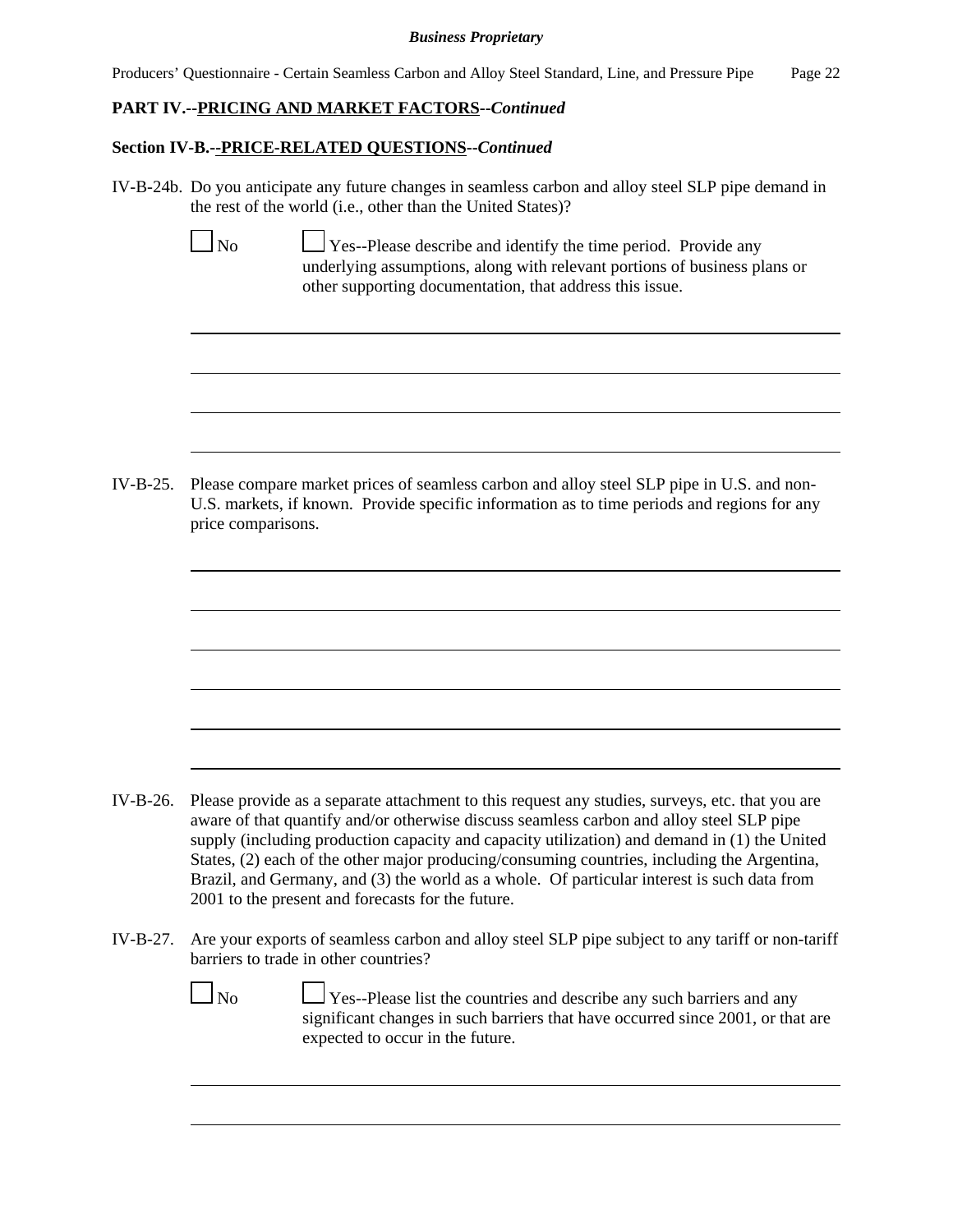Producers' Questionnaire - Certain Seamless Carbon and Alloy Steel Standard, Line, and Pressure Pipe Page 22

## **PART IV.--PRICING AND MARKET FACTORS--***Continued*

## **Section IV-B.--PRICE-RELATED QUESTIONS--***Continued*

IV-B-24b. Do you anticipate any future changes in seamless carbon and alloy steel SLP pipe demand in the rest of the world (i.e., other than the United States)?

 $\Box$  Yes--Please describe and identify the time period. Provide any underlying assumptions, along with relevant portions of business plans or other supporting documentation, that address this issue.

IV-B-25. Please compare market prices of seamless carbon and alloy steel SLP pipe in U.S. and non-U.S. markets, if known. Provide specific information as to time periods and regions for any price comparisons.

- IV-B-26. Please provide as a separate attachment to this request any studies, surveys, etc. that you are aware of that quantify and/or otherwise discuss seamless carbon and alloy steel SLP pipe supply (including production capacity and capacity utilization) and demand in (1) the United States, (2) each of the other major producing/consuming countries, including the Argentina, Brazil, and Germany, and (3) the world as a whole. Of particular interest is such data from 2001 to the present and forecasts for the future.
- IV-B-27. Are your exports of seamless carbon and alloy steel SLP pipe subject to any tariff or non-tariff barriers to trade in other countries?

|--|--|

 $\Box$  Yes--Please list the countries and describe any such barriers and any significant changes in such barriers that have occurred since 2001, or that are expected to occur in the future.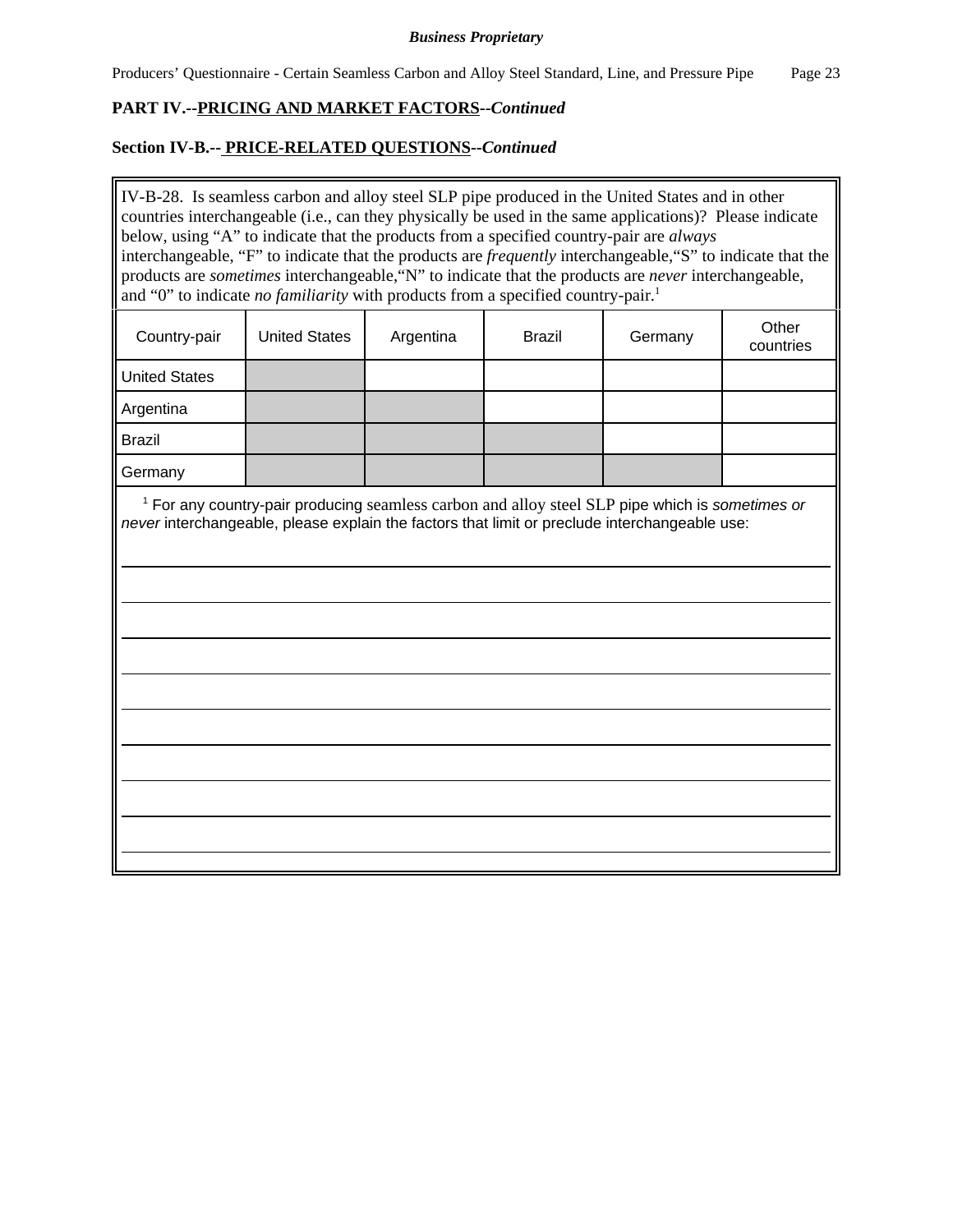# **PART IV.--PRICING AND MARKET FACTORS--***Continued*

## **Section IV-B.-- PRICE-RELATED QUESTIONS--***Continued*

IV-B-28. Is seamless carbon and alloy steel SLP pipe produced in the United States and in other countries interchangeable (i.e., can they physically be used in the same applications)? Please indicate below, using "A" to indicate that the products from a specified country-pair are *always* interchangeable, "F" to indicate that the products are *frequently* interchangeable,"S" to indicate that the products are *sometimes* interchangeable,"N" to indicate that the products are *never* interchangeable, and "0" to indicate *no familiarity* with products from a specified country-pair.<sup>1</sup>

| Country-pair         | <b>United States</b> | Argentina | <b>Brazil</b> | Germany | Other<br>countries |
|----------------------|----------------------|-----------|---------------|---------|--------------------|
| <b>United States</b> |                      |           |               |         |                    |
| Argentina            |                      |           |               |         |                    |
| <b>Brazil</b>        |                      |           |               |         |                    |
| Germany              |                      |           |               |         |                    |

 1 For any country-pair producing seamless carbon and alloy steel SLP pipe which is *sometimes or never* interchangeable, please explain the factors that limit or preclude interchangeable use: